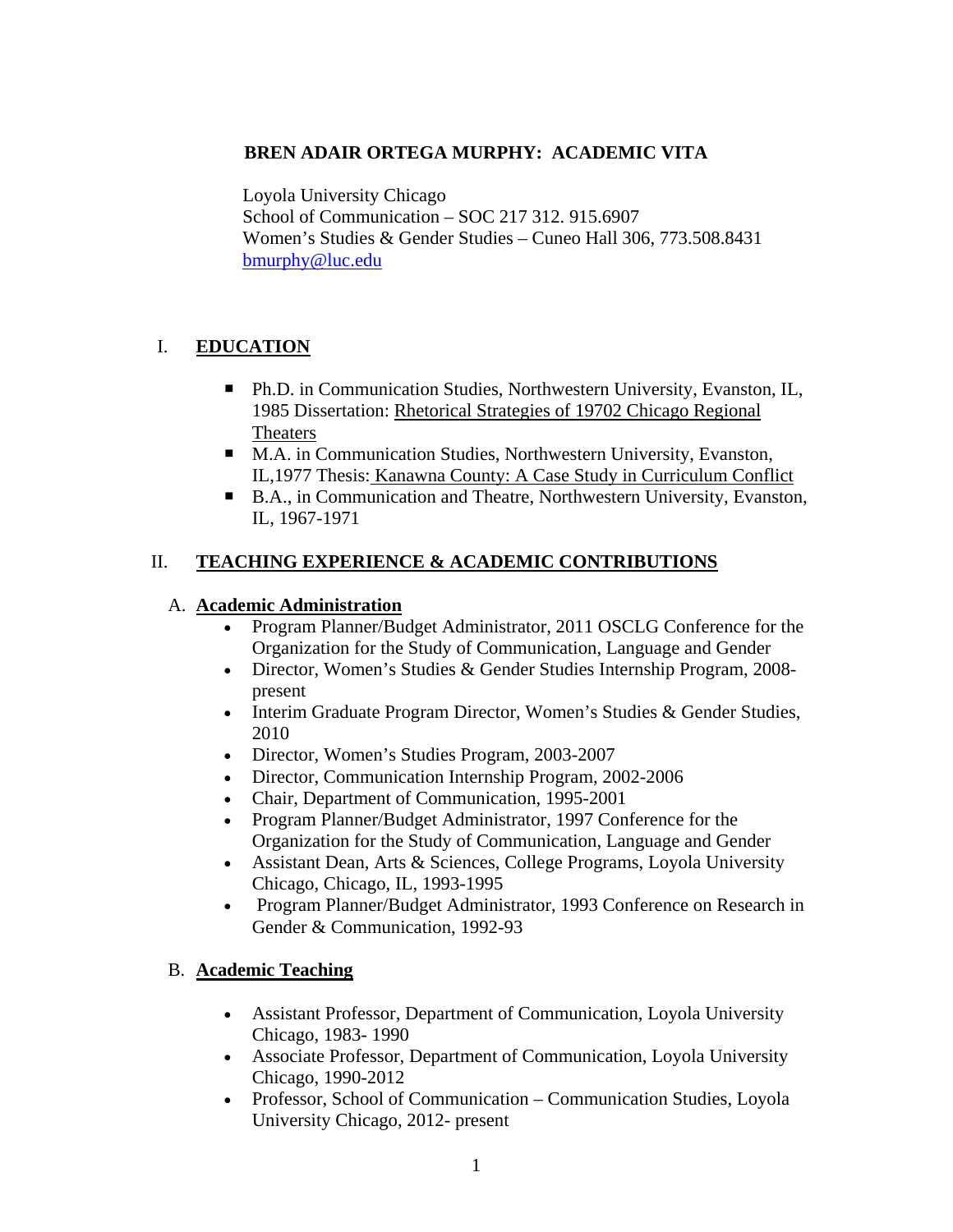### **BREN ADAIR ORTEGA MURPHY: ACADEMIC VITA**

Loyola University Chicago School of Communication – SOC 217 312. 915.6907 Women's Studies & Gender Studies – Cuneo Hall 306, 773.508.8431 bmurphy@luc.edu

# I. **EDUCATION**

- Ph.D. in Communication Studies, Northwestern University, Evanston, IL, 1985 Dissertation: Rhetorical Strategies of 19702 Chicago Regional Theaters
- M.A. in Communication Studies, Northwestern University, Evanston, IL,1977 Thesis: Kanawna County: A Case Study in Curriculum Conflict
- B.A., in Communication and Theatre, Northwestern University, Evanston, IL, 1967-1971

## II. **TEACHING EXPERIENCE & ACADEMIC CONTRIBUTIONS**

### A. **Academic Administration**

- Program Planner/Budget Administrator, 2011 OSCLG Conference for the Organization for the Study of Communication, Language and Gender
- Director, Women's Studies & Gender Studies Internship Program, 2008 present
- Interim Graduate Program Director, Women's Studies & Gender Studies, 2010
- Director, Women's Studies Program, 2003-2007
- Director, Communication Internship Program, 2002-2006
- Chair, Department of Communication, 1995-2001
- Program Planner/Budget Administrator, 1997 Conference for the Organization for the Study of Communication, Language and Gender
- Assistant Dean, Arts & Sciences, College Programs, Loyola University Chicago, Chicago, IL, 1993-1995
- Program Planner/Budget Administrator, 1993 Conference on Research in Gender & Communication, 1992-93

# B. **Academic Teaching**

- Assistant Professor, Department of Communication, Loyola University Chicago, 1983- 1990
- Associate Professor, Department of Communication, Loyola University Chicago, 1990-2012
- Professor, School of Communication Communication Studies, Loyola University Chicago, 2012- present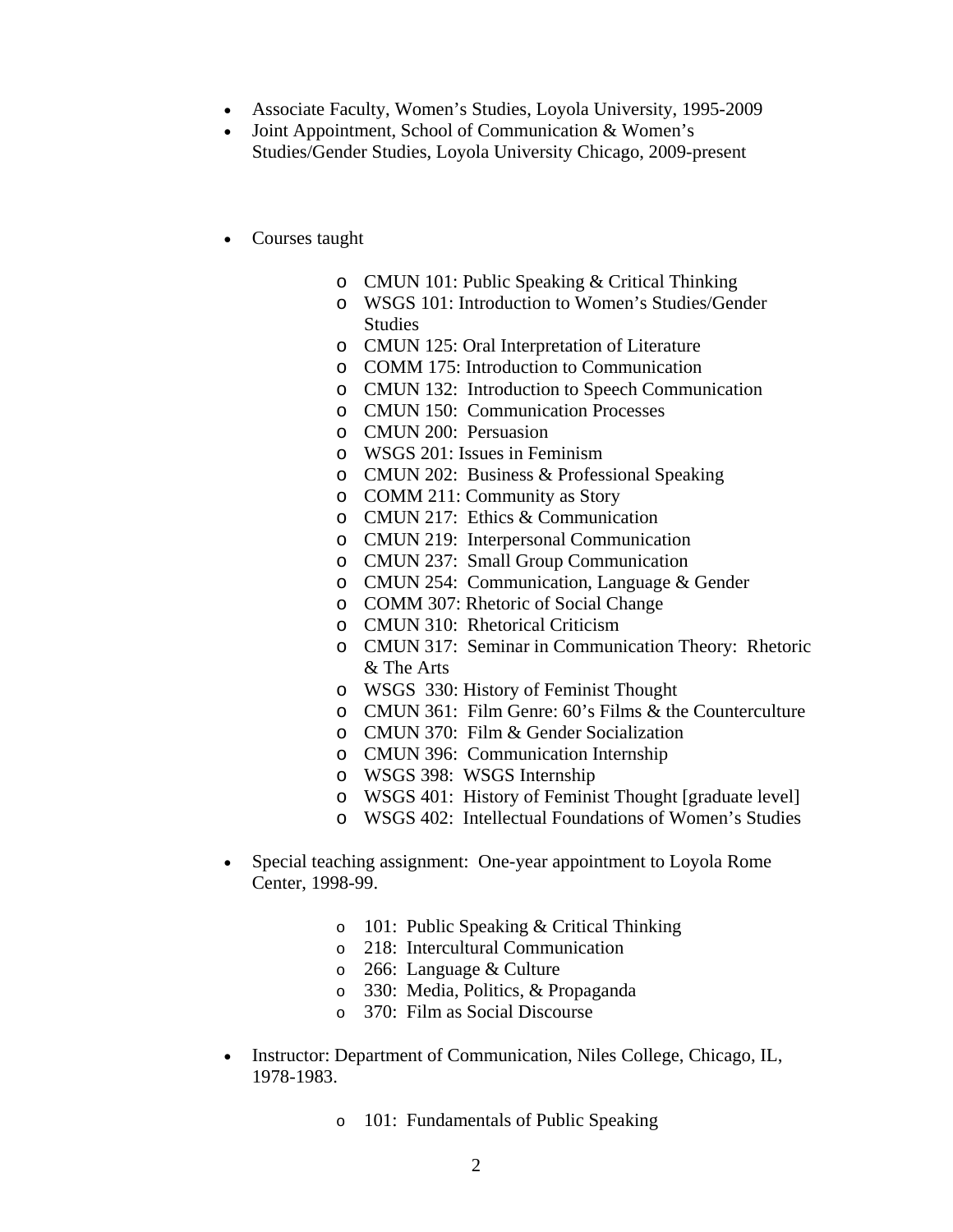- Associate Faculty, Women's Studies, Loyola University, 1995-2009
- Joint Appointment, School of Communication & Women's Studies/Gender Studies, Loyola University Chicago, 2009-present
- Courses taught
	- o CMUN 101: Public Speaking & Critical Thinking
	- o WSGS 101: Introduction to Women's Studies/Gender Studies
	- o CMUN 125: Oral Interpretation of Literature
	- o COMM 175: Introduction to Communication
	- o CMUN 132: Introduction to Speech Communication
	- o CMUN 150: Communication Processes
	- o CMUN 200: Persuasion
	- o WSGS 201: Issues in Feminism
	- o CMUN 202: Business & Professional Speaking
	- o COMM 211: Community as Story
	- o CMUN 217: Ethics & Communication
	- o CMUN 219: Interpersonal Communication
	- o CMUN 237: Small Group Communication
	- o CMUN 254: Communication, Language & Gender
	- o COMM 307: Rhetoric of Social Change
	- o CMUN 310: Rhetorical Criticism
	- o CMUN 317: Seminar in Communication Theory: Rhetoric & The Arts
	- o WSGS 330: History of Feminist Thought
	- o CMUN 361: Film Genre: 60's Films & the Counterculture
	- o CMUN 370: Film & Gender Socialization
	- o CMUN 396: Communication Internship
	- o WSGS 398: WSGS Internship
	- o WSGS 401: History of Feminist Thought [graduate level]
	- o WSGS 402: Intellectual Foundations of Women's Studies
- Special teaching assignment: One-year appointment to Loyola Rome Center, 1998-99.
	- o 101: Public Speaking & Critical Thinking
	- o 218: Intercultural Communication
	- o 266: Language & Culture
	- o 330: Media, Politics, & Propaganda
	- 370: Film as Social Discourse
- Instructor: Department of Communication, Niles College, Chicago, IL, 1978-1983.
	- o 101: Fundamentals of Public Speaking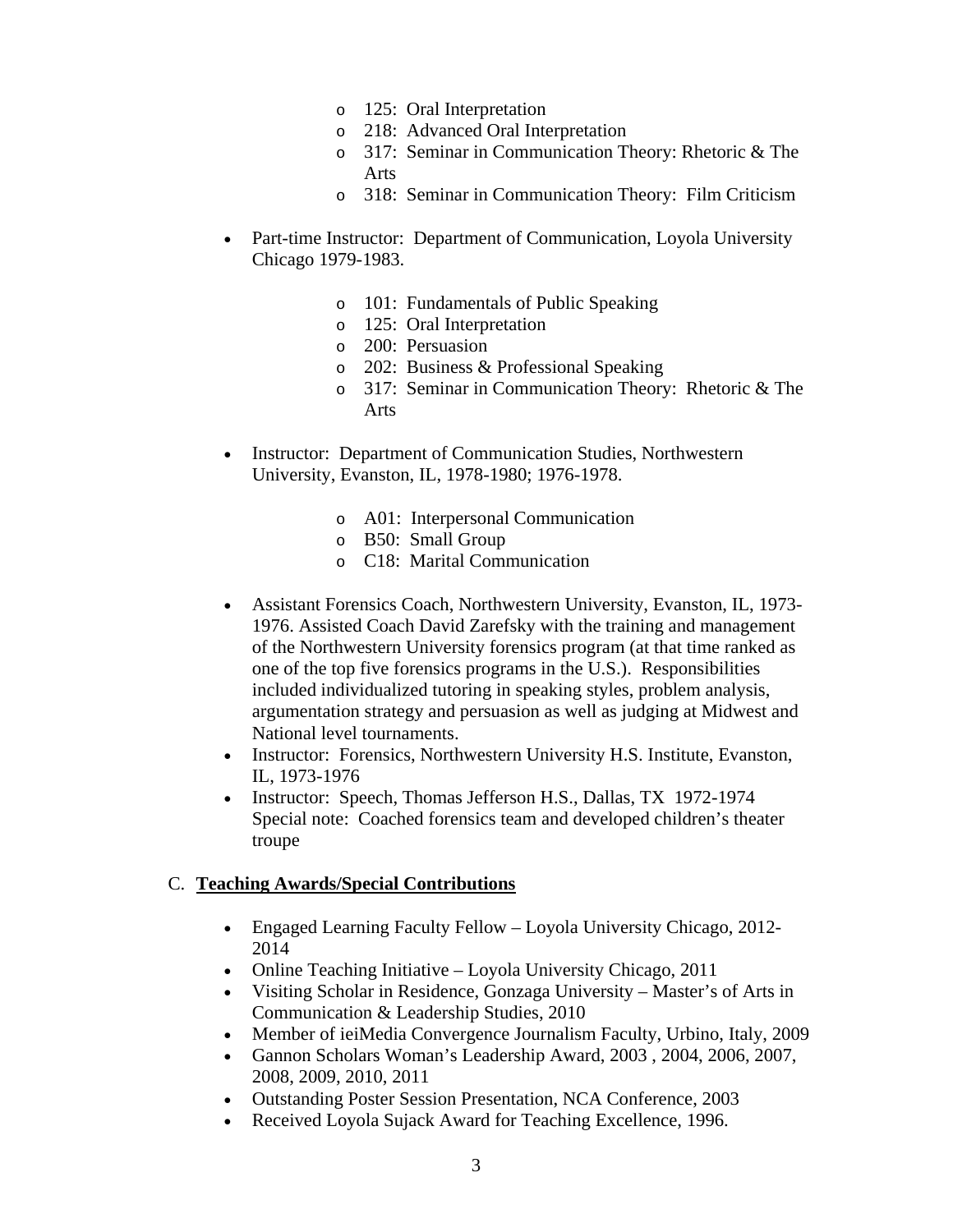- o 125: Oral Interpretation
- o 218: Advanced Oral Interpretation
- o 317: Seminar in Communication Theory: Rhetoric & The Arts
- o 318: Seminar in Communication Theory: Film Criticism
- Part-time Instructor: Department of Communication, Loyola University Chicago 1979-1983.
	- o 101: Fundamentals of Public Speaking
	- o 125: Oral Interpretation
	- o 200: Persuasion
	- o 202: Business & Professional Speaking
	- o 317: Seminar in Communication Theory: Rhetoric & The Arts
- Instructor: Department of Communication Studies, Northwestern University, Evanston, IL, 1978-1980; 1976-1978.
	- o A01: Interpersonal Communication
	- o B50: Small Group
	- o C18: Marital Communication
- Assistant Forensics Coach, Northwestern University, Evanston, IL, 1973- 1976. Assisted Coach David Zarefsky with the training and management of the Northwestern University forensics program (at that time ranked as one of the top five forensics programs in the U.S.). Responsibilities included individualized tutoring in speaking styles, problem analysis, argumentation strategy and persuasion as well as judging at Midwest and National level tournaments.
- Instructor: Forensics, Northwestern University H.S. Institute, Evanston, IL, 1973-1976
- Instructor: Speech, Thomas Jefferson H.S., Dallas, TX 1972-1974 Special note: Coached forensics team and developed children's theater troupe

#### C. **Teaching Awards/Special Contributions**

- Engaged Learning Faculty Fellow Loyola University Chicago, 2012- 2014
- Online Teaching Initiative Loyola University Chicago, 2011
- Visiting Scholar in Residence, Gonzaga University Master's of Arts in Communication & Leadership Studies, 2010
- Member of ieiMedia Convergence Journalism Faculty, Urbino, Italy, 2009
- Gannon Scholars Woman's Leadership Award, 2003 , 2004, 2006, 2007, 2008, 2009, 2010, 2011
- Outstanding Poster Session Presentation, NCA Conference, 2003
- Received Loyola Sujack Award for Teaching Excellence, 1996.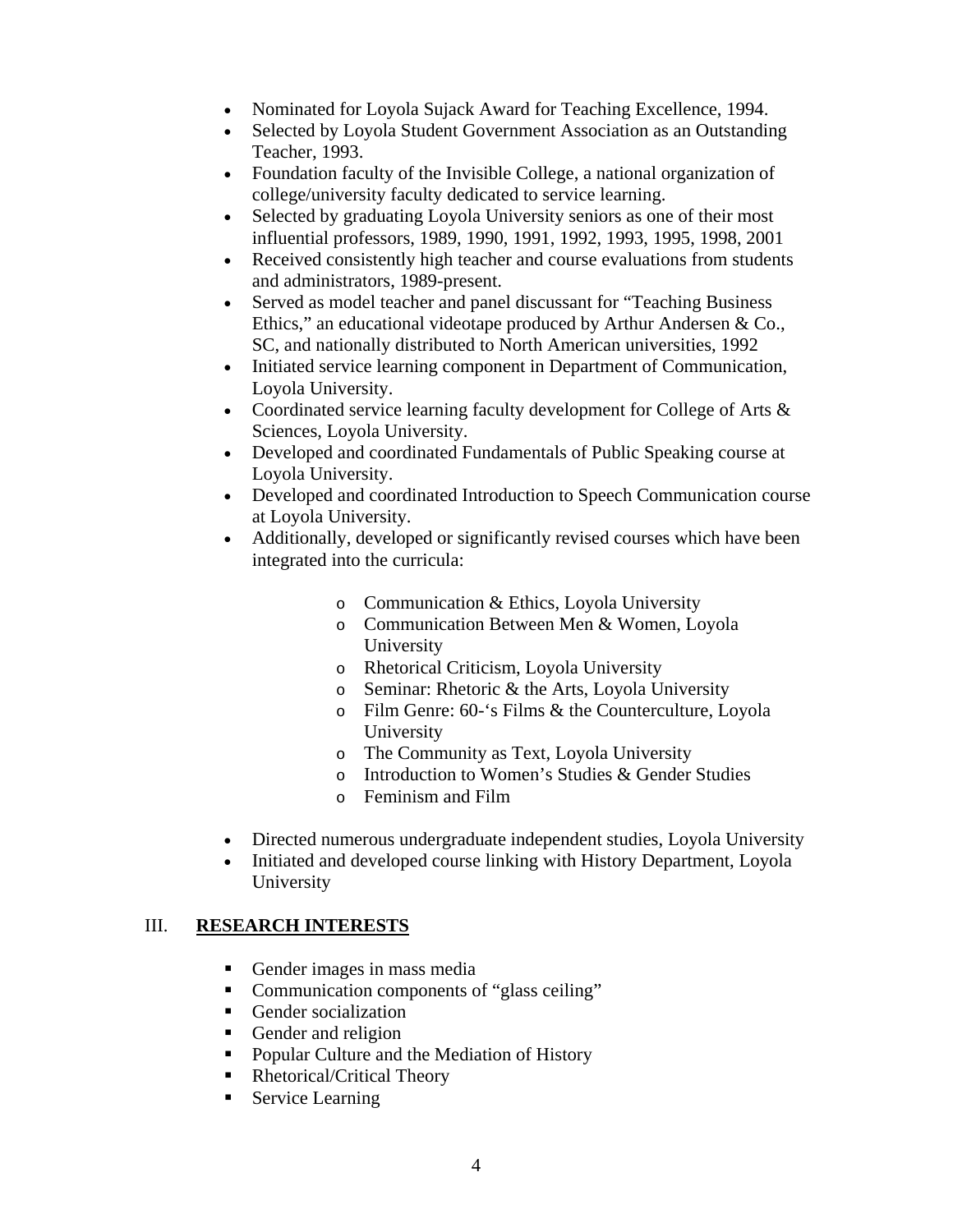- Nominated for Loyola Sujack Award for Teaching Excellence, 1994.
- Selected by Loyola Student Government Association as an Outstanding Teacher, 1993.
- Foundation faculty of the Invisible College, a national organization of college/university faculty dedicated to service learning.
- Selected by graduating Loyola University seniors as one of their most influential professors, 1989, 1990, 1991, 1992, 1993, 1995, 1998, 2001
- Received consistently high teacher and course evaluations from students and administrators, 1989-present.
- Served as model teacher and panel discussant for "Teaching Business Ethics," an educational videotape produced by Arthur Andersen & Co., SC, and nationally distributed to North American universities, 1992
- Initiated service learning component in Department of Communication, Loyola University.
- Coordinated service learning faculty development for College of Arts & Sciences, Loyola University.
- Developed and coordinated Fundamentals of Public Speaking course at Loyola University.
- Developed and coordinated Introduction to Speech Communication course at Loyola University.
- Additionally, developed or significantly revised courses which have been integrated into the curricula:
	- o Communication & Ethics, Loyola University
	- o Communication Between Men & Women, Loyola University
	- o Rhetorical Criticism, Loyola University
	- o Seminar: Rhetoric & the Arts, Loyola University
	- o Film Genre: 60-'s Films & the Counterculture, Loyola University
	- o The Community as Text, Loyola University
	- o Introduction to Women's Studies & Gender Studies
	- o Feminism and Film
- Directed numerous undergraduate independent studies, Loyola University
- Initiated and developed course linking with History Department, Loyola University

### III. **RESEARCH INTERESTS**

- Gender images in mass media
- Communication components of "glass ceiling"
- Gender socialization
- Gender and religion
- Popular Culture and the Mediation of History
- Rhetorical/Critical Theory
- Service Learning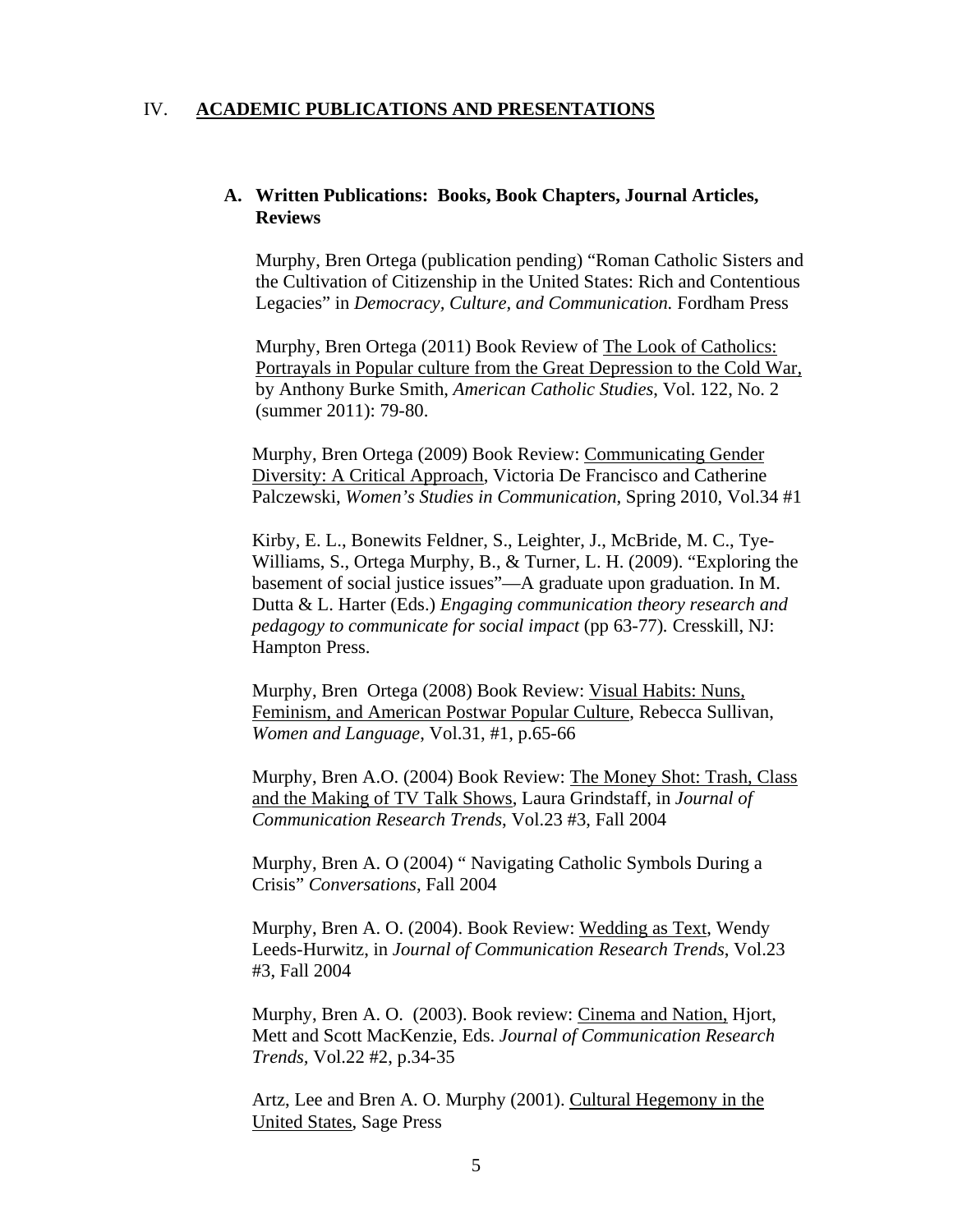#### IV. **ACADEMIC PUBLICATIONS AND PRESENTATIONS**

#### **A. Written Publications: Books, Book Chapters, Journal Articles, Reviews**

Murphy, Bren Ortega (publication pending) "Roman Catholic Sisters and the Cultivation of Citizenship in the United States: Rich and Contentious Legacies" in *Democracy, Culture, and Communication.* Fordham Press

Murphy, Bren Ortega (2011) Book Review of The Look of Catholics: Portrayals in Popular culture from the Great Depression to the Cold War*,* by Anthony Burke Smith, *American Catholic Studies*, Vol. 122, No. 2 (summer 2011): 79-80.

Murphy, Bren Ortega (2009) Book Review: Communicating Gender Diversity: A Critical Approach, Victoria De Francisco and Catherine Palczewski, *Women's Studies in Communication*, Spring 2010, Vol.34 #1

 Kirby, E. L., Bonewits Feldner, S., Leighter, J., McBride, M. C., Tye-Williams, S., Ortega Murphy, B., & Turner, L. H. (2009). "Exploring the basement of social justice issues"—A graduate upon graduation. In M. Dutta & L. Harter (Eds.) *Engaging communication theory research and pedagogy to communicate for social impact* (pp 63-77)*.* Cresskill, NJ: Hampton Press.

Murphy, Bren Ortega (2008) Book Review: Visual Habits: Nuns, Feminism, and American Postwar Popular Culture, Rebecca Sullivan, *Women and Language*, Vol.31, #1, p.65-66

Murphy, Bren A.O. (2004) Book Review: The Money Shot: Trash, Class and the Making of TV Talk Shows, Laura Grindstaff, in *Journal of Communication Research Trends*, Vol.23 #3, Fall 2004

Murphy, Bren A. O (2004) " Navigating Catholic Symbols During a Crisis" *Conversations*, Fall 2004

Murphy, Bren A. O. (2004). Book Review: Wedding as Text, Wendy Leeds-Hurwitz, in *Journal of Communication Research Trends*, Vol.23 #3, Fall 2004

Murphy, Bren A. O. (2003). Book review: Cinema and Nation, Hjort, Mett and Scott MacKenzie, Eds. *Journal of Communication Research Trends,* Vol.22 #2, p.34-35

Artz, Lee and Bren A. O. Murphy (2001). Cultural Hegemony in the United States, Sage Press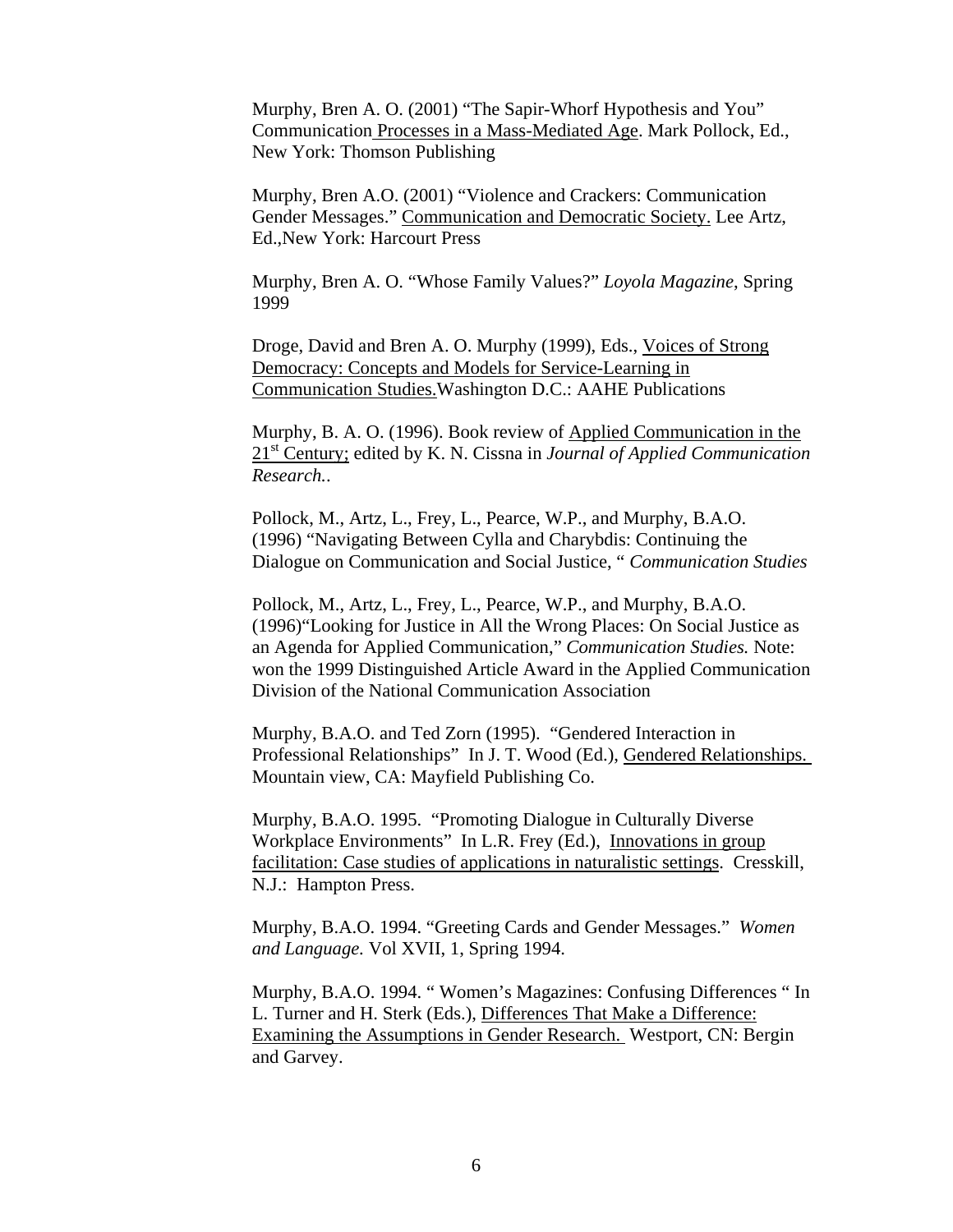Murphy, Bren A. O. (2001) "The Sapir-Whorf Hypothesis and You" Communication Processes in a Mass-Mediated Age. Mark Pollock, Ed., New York: Thomson Publishing

Murphy, Bren A.O. (2001) "Violence and Crackers: Communication Gender Messages." Communication and Democratic Society. Lee Artz, Ed.,New York: Harcourt Press

Murphy, Bren A. O. "Whose Family Values?" *Loyola Magazine*, Spring 1999

Droge, David and Bren A. O. Murphy (1999), Eds., Voices of Strong Democracy: Concepts and Models for Service-Learning in Communication Studies.Washington D.C.: AAHE Publications

Murphy, B. A. O. (1996). Book review of Applied Communication in the 21st Century; edited by K. N. Cissna in *Journal of Applied Communication Research.*.

Pollock, M., Artz, L., Frey, L., Pearce, W.P., and Murphy, B.A.O. (1996) "Navigating Between Cylla and Charybdis: Continuing the Dialogue on Communication and Social Justice, " *Communication Studies*

Pollock, M., Artz, L., Frey, L., Pearce, W.P., and Murphy, B.A.O. (1996)"Looking for Justice in All the Wrong Places: On Social Justice as an Agenda for Applied Communication," *Communication Studies.* Note: won the 1999 Distinguished Article Award in the Applied Communication Division of the National Communication Association

Murphy, B.A.O. and Ted Zorn (1995). "Gendered Interaction in Professional Relationships" In J. T. Wood (Ed.), Gendered Relationships. Mountain view, CA: Mayfield Publishing Co.

Murphy, B.A.O. 1995. "Promoting Dialogue in Culturally Diverse Workplace Environments" In L.R. Frey (Ed.), Innovations in group facilitation: Case studies of applications in naturalistic settings. Cresskill, N.J.: Hampton Press.

Murphy, B.A.O. 1994. "Greeting Cards and Gender Messages." *Women and Language.* Vol XVII, 1, Spring 1994.

Murphy, B.A.O. 1994. " Women's Magazines: Confusing Differences " In L. Turner and H. Sterk (Eds.), Differences That Make a Difference: Examining the Assumptions in Gender Research. Westport, CN: Bergin and Garvey.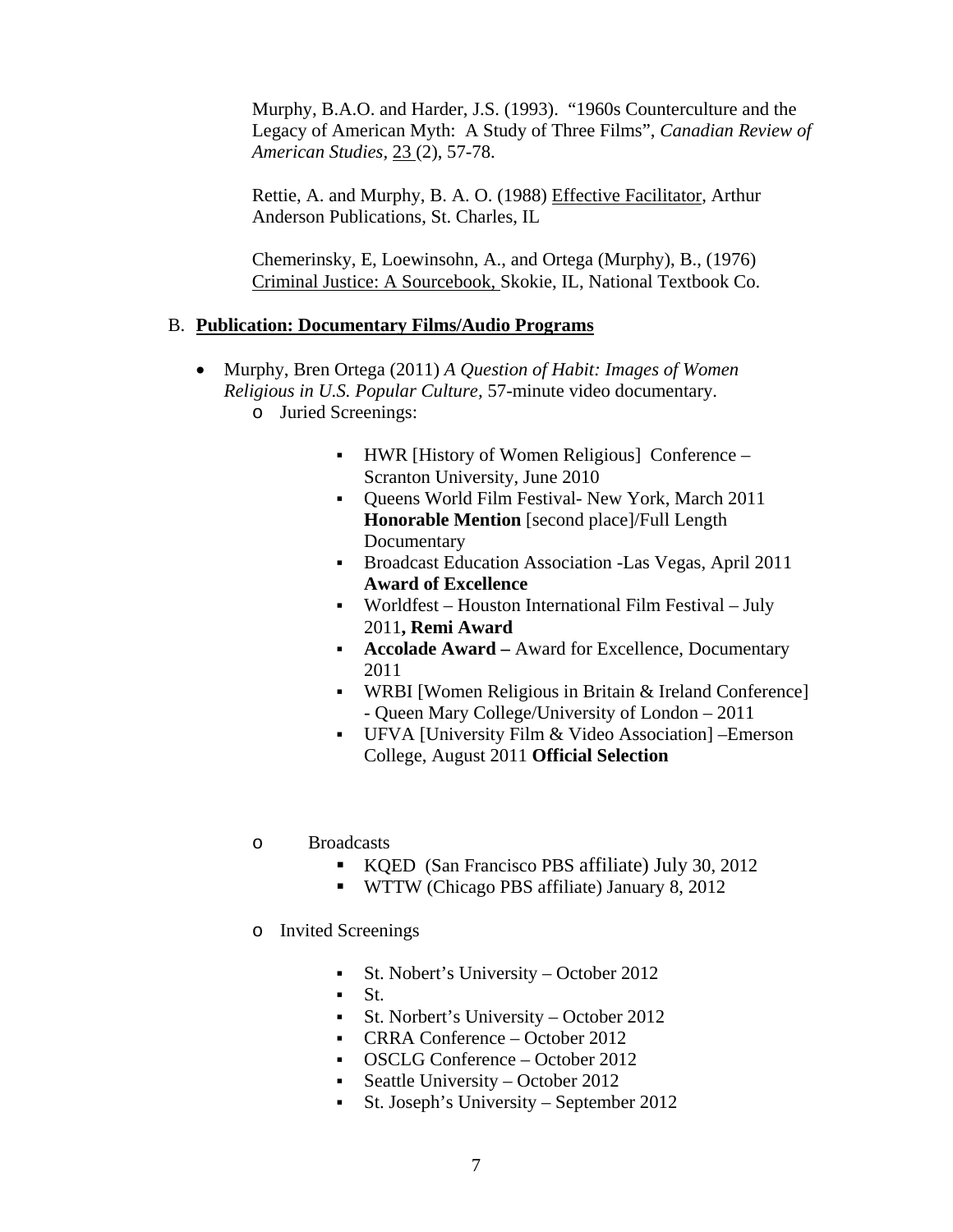Murphy, B.A.O. and Harder, J.S. (1993). "1960s Counterculture and the Legacy of American Myth: A Study of Three Films", *Canadian Review of American Studies,* 23 (2), 57-78.

Rettie, A. and Murphy, B. A. O. (1988) Effective Facilitator, Arthur Anderson Publications, St. Charles, IL

Chemerinsky, E, Loewinsohn, A., and Ortega (Murphy), B., (1976) Criminal Justice: A Sourcebook, Skokie, IL, National Textbook Co.

### B. **Publication: Documentary Films/Audio Programs**

- Murphy, Bren Ortega (2011) *A Question of Habit: Images of Women Religious in U.S. Popular Culture,* 57-minute video documentary.
	- o Juried Screenings:
		- HWR [History of Women Religious] Conference Scranton University, June 2010
		- Oueens World Film Festival- New York, March 2011 **Honorable Mention** [second place]/Full Length Documentary
		- **Broadcast Education Association -Las Vegas, April 2011 Award of Excellence**
		- Worldfest Houston International Film Festival July 2011**, Remi Award**
		- **Accolade Award** Award for Excellence, Documentary 2011
		- WRBI [Women Religious in Britain & Ireland Conference] - Queen Mary College/University of London – 2011
		- UFVA [University Film & Video Association] –Emerson College, August 2011 **Official Selection**
	- o Broadcasts
		- KQED (San Francisco PBS affiliate) July 30, 2012
		- WTTW (Chicago PBS affiliate) January 8, 2012
	- o Invited Screenings
		- St. Nobert's University October 2012
		- $St$ .
		- St. Norbert's University October 2012
		- CRRA Conference October 2012
		- OSCLG Conference October 2012
		- Seattle University October 2012
		- St. Joseph's University September 2012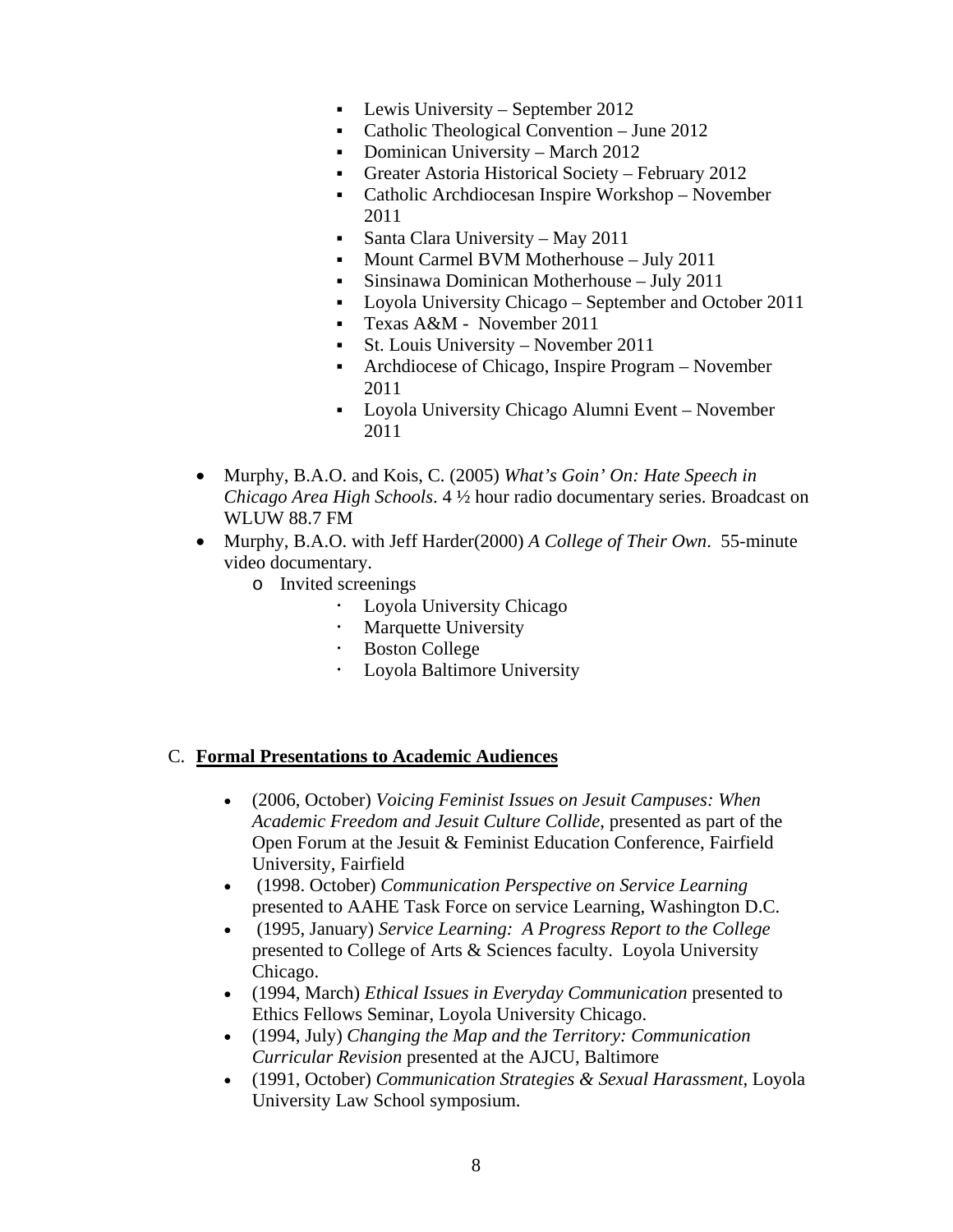- Lewis University September 2012
- Catholic Theological Convention June 2012
- Dominican University March 2012
- Greater Astoria Historical Society February 2012
- Catholic Archdiocesan Inspire Workshop November 2011
- Santa Clara University May 2011
- Mount Carmel BVM Motherhouse July 2011
- Sinsinawa Dominican Motherhouse July 2011
- Loyola University Chicago September and October 2011
- Texas A&M November 2011
- St. Louis University November 2011
- Archdiocese of Chicago, Inspire Program November 2011
- Loyola University Chicago Alumni Event November 2011
- Murphy, B.A.O. and Kois, C. (2005) *What's Goin' On: Hate Speech in Chicago Area High Schools*. 4 ½ hour radio documentary series. Broadcast on WLUW 88.7 FM
- Murphy, B.A.O. with Jeff Harder(2000) *A College of Their Own*. 55-minute video documentary.
	- o Invited screenings
		- Loyola University Chicago
		- Marquette University
		- Boston College
		- Loyola Baltimore University

### C. **Formal Presentations to Academic Audiences**

- (2006, October) *Voicing Feminist Issues on Jesuit Campuses: When Academic Freedom and Jesuit Culture Collide*, presented as part of the Open Forum at the Jesuit & Feminist Education Conference, Fairfield University, Fairfield
- (1998. October) *Communication Perspective on Service Learning* presented to AAHE Task Force on service Learning, Washington D.C.
- (1995, January) *Service Learning: A Progress Report to the College*  presented to College of Arts & Sciences faculty. Loyola University Chicago.
- (1994, March) *Ethical Issues in Everyday Communication* presented to Ethics Fellows Seminar, Loyola University Chicago.
- (1994, July) *Changing the Map and the Territory: Communication Curricular Revision* presented at the AJCU, Baltimore
- (1991, October) *Communication Strategies & Sexual Harassment*, Loyola University Law School symposium.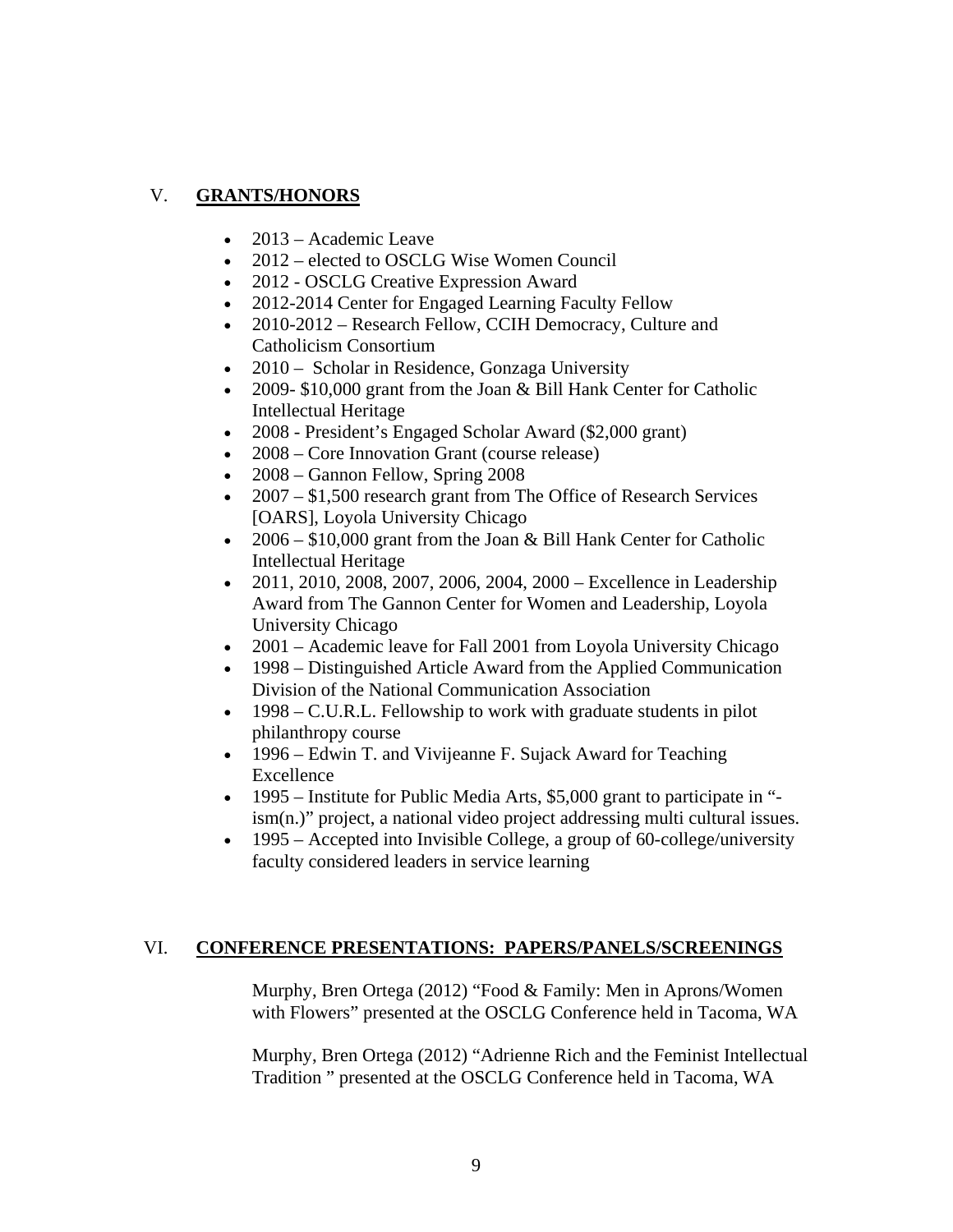## V. **GRANTS/HONORS**

- $\bullet$  2013 Academic Leave
- 2012 elected to OSCLG Wise Women Council
- 2012 OSCLG Creative Expression Award
- 2012-2014 Center for Engaged Learning Faculty Fellow
- 2010-2012 Research Fellow, CCIH Democracy, Culture and Catholicism Consortium
- 2010 Scholar in Residence, Gonzaga University
- 2009- \$10,000 grant from the Joan & Bill Hank Center for Catholic Intellectual Heritage
- 2008 President's Engaged Scholar Award (\$2,000 grant)
- 2008 Core Innovation Grant (course release)
- 2008 Gannon Fellow, Spring 2008
- 2007 \$1,500 research grant from The Office of Research Services [OARS], Loyola University Chicago
- $\cdot$  2006 \$10,000 grant from the Joan & Bill Hank Center for Catholic Intellectual Heritage
- $\bullet$  2011, 2010, 2008, 2007, 2006, 2004, 2000 Excellence in Leadership Award from The Gannon Center for Women and Leadership, Loyola University Chicago
- 2001 Academic leave for Fall 2001 from Loyola University Chicago
- 1998 Distinguished Article Award from the Applied Communication Division of the National Communication Association
- $\bullet$  1998 C.U.R.L. Fellowship to work with graduate students in pilot philanthropy course
- 1996 Edwin T. and Vivijeanne F. Sujack Award for Teaching Excellence
- 1995 Institute for Public Media Arts, \$5,000 grant to participate in "ism(n.)" project, a national video project addressing multi cultural issues.
- $\bullet$  1995 Accepted into Invisible College, a group of 60-college/university faculty considered leaders in service learning

### VI. **CONFERENCE PRESENTATIONS: PAPERS/PANELS/SCREENINGS**

Murphy, Bren Ortega (2012) "Food & Family: Men in Aprons/Women with Flowers" presented at the OSCLG Conference held in Tacoma, WA

Murphy, Bren Ortega (2012) "Adrienne Rich and the Feminist Intellectual Tradition " presented at the OSCLG Conference held in Tacoma, WA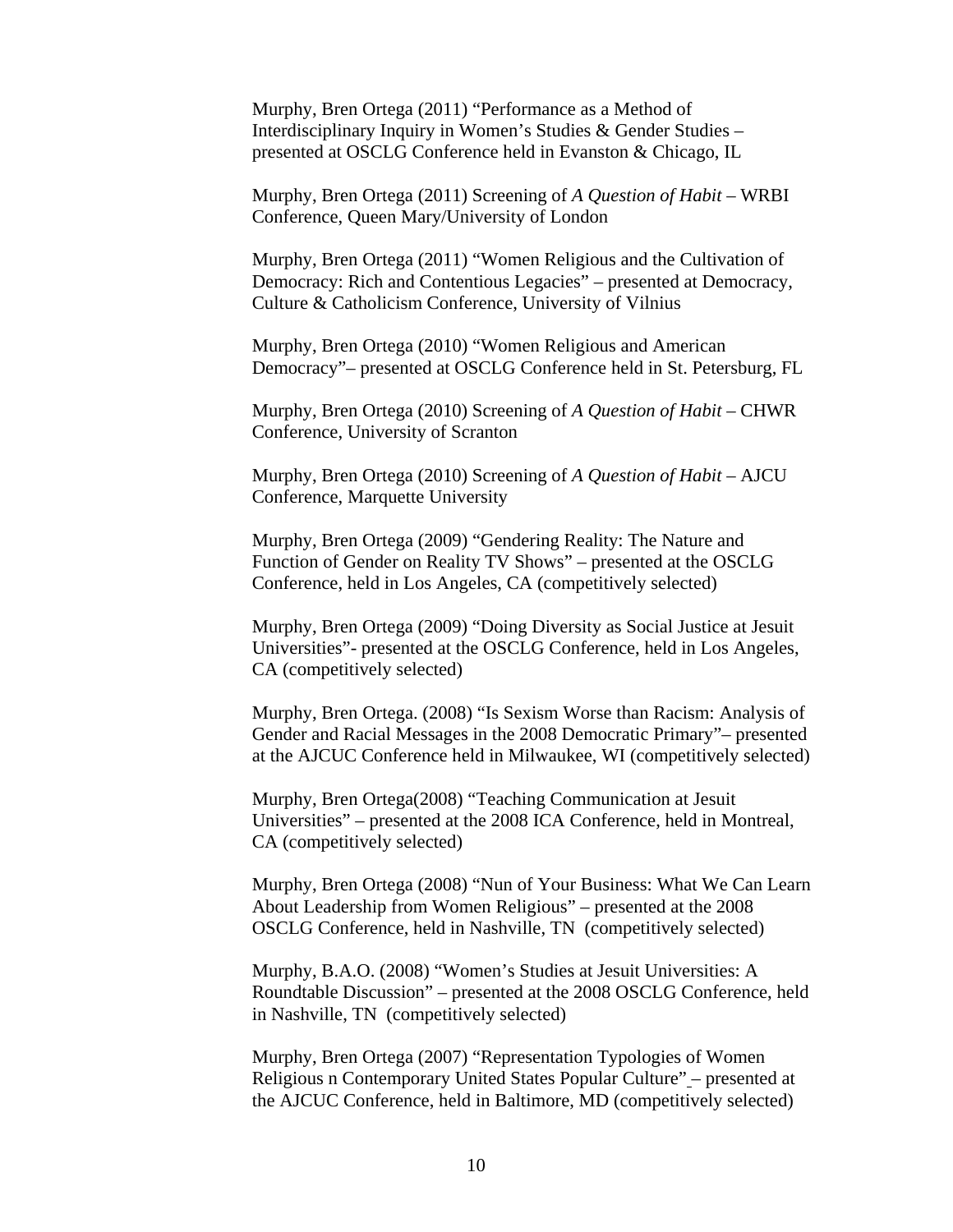Murphy, Bren Ortega (2011) "Performance as a Method of Interdisciplinary Inquiry in Women's Studies & Gender Studies – presented at OSCLG Conference held in Evanston & Chicago, IL

Murphy, Bren Ortega (2011) Screening of *A Question of Habit* – WRBI Conference, Queen Mary/University of London

Murphy, Bren Ortega (2011) "Women Religious and the Cultivation of Democracy: Rich and Contentious Legacies" – presented at Democracy, Culture & Catholicism Conference, University of Vilnius

Murphy, Bren Ortega (2010) "Women Religious and American Democracy"– presented at OSCLG Conference held in St. Petersburg, FL

Murphy, Bren Ortega (2010) Screening of *A Question of Habit* – CHWR Conference, University of Scranton

Murphy, Bren Ortega (2010) Screening of *A Question of Habit* – AJCU Conference, Marquette University

Murphy, Bren Ortega (2009) "Gendering Reality: The Nature and Function of Gender on Reality TV Shows" – presented at the OSCLG Conference, held in Los Angeles, CA (competitively selected)

Murphy, Bren Ortega (2009) "Doing Diversity as Social Justice at Jesuit Universities"- presented at the OSCLG Conference, held in Los Angeles, CA (competitively selected)

Murphy, Bren Ortega. (2008) "Is Sexism Worse than Racism: Analysis of Gender and Racial Messages in the 2008 Democratic Primary"– presented at the AJCUC Conference held in Milwaukee, WI (competitively selected)

Murphy, Bren Ortega(2008) "Teaching Communication at Jesuit Universities" – presented at the 2008 ICA Conference, held in Montreal, CA (competitively selected)

Murphy, Bren Ortega (2008) "Nun of Your Business: What We Can Learn About Leadership from Women Religious" *–* presented at the 2008 OSCLG Conference, held in Nashville, TN (competitively selected)

Murphy, B.A.O. (2008) "Women's Studies at Jesuit Universities: A Roundtable Discussion" *–* presented at the 2008 OSCLG Conference, held in Nashville, TN (competitively selected)

Murphy, Bren Ortega (2007) "Representation Typologies of Women Religious n Contemporary United States Popular Culture" – presented at the AJCUC Conference, held in Baltimore, MD (competitively selected)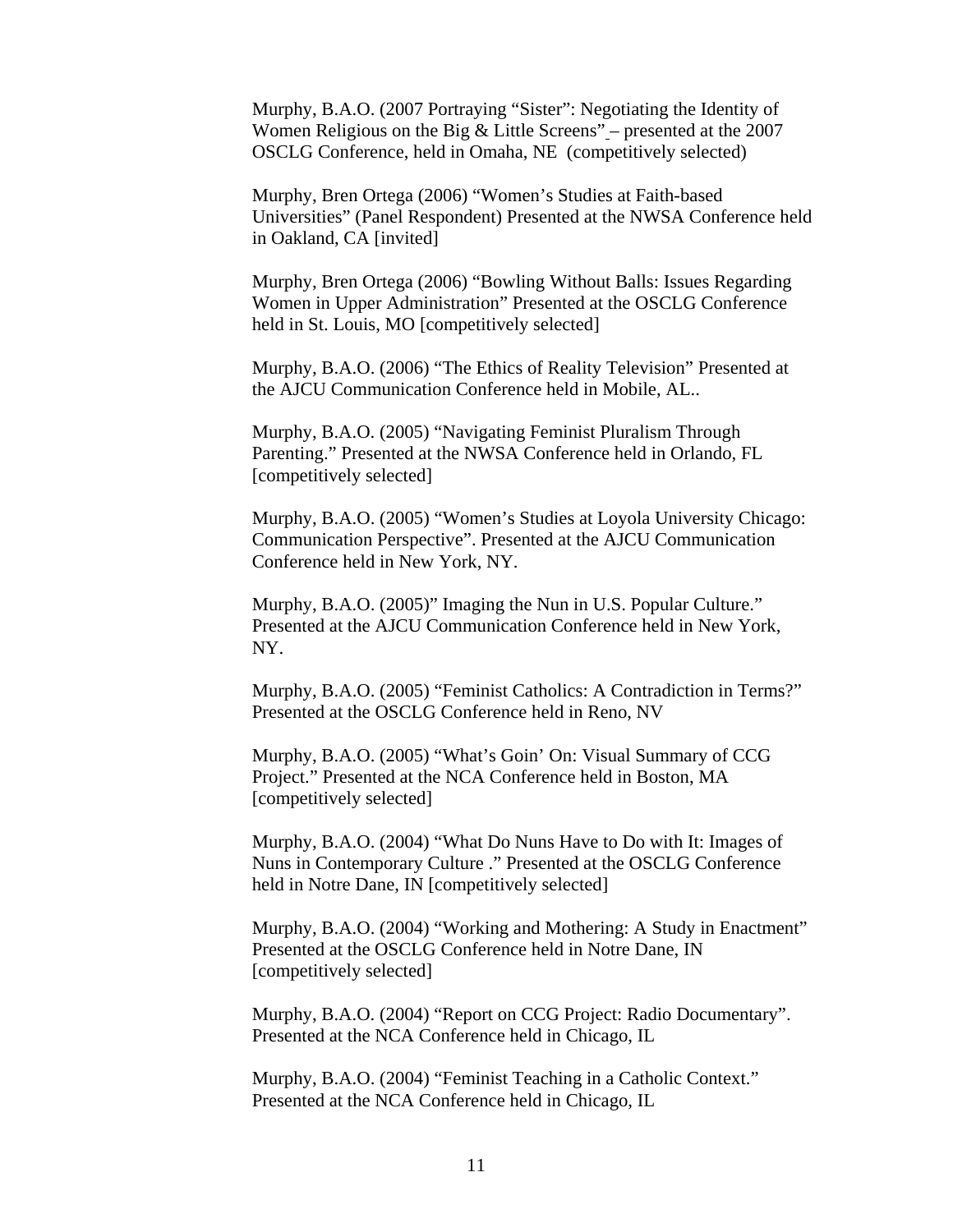Murphy, B.A.O. (2007 Portraying "Sister": Negotiating the Identity of Women Religious on the Big & Little Screens" *–* presented at the 2007 OSCLG Conference, held in Omaha, NE (competitively selected)

Murphy, Bren Ortega (2006) "Women's Studies at Faith-based Universities" (Panel Respondent) Presented at the NWSA Conference held in Oakland, CA [invited]

Murphy, Bren Ortega (2006) "Bowling Without Balls: Issues Regarding Women in Upper Administration" Presented at the OSCLG Conference held in St. Louis, MO [competitively selected]

Murphy, B.A.O. (2006) "The Ethics of Reality Television" Presented at the AJCU Communication Conference held in Mobile, AL..

Murphy, B.A.O. (2005) "Navigating Feminist Pluralism Through Parenting." Presented at the NWSA Conference held in Orlando, FL [competitively selected]

Murphy, B.A.O. (2005) "Women's Studies at Loyola University Chicago: Communication Perspective". Presented at the AJCU Communication Conference held in New York, NY.

Murphy, B.A.O. (2005)" Imaging the Nun in U.S. Popular Culture." Presented at the AJCU Communication Conference held in New York, NY.

Murphy, B.A.O. (2005) "Feminist Catholics: A Contradiction in Terms?" Presented at the OSCLG Conference held in Reno, NV

Murphy, B.A.O. (2005) "What's Goin' On: Visual Summary of CCG Project." Presented at the NCA Conference held in Boston, MA [competitively selected]

Murphy, B.A.O. (2004) "What Do Nuns Have to Do with It: Images of Nuns in Contemporary Culture ." Presented at the OSCLG Conference held in Notre Dane, IN [competitively selected]

Murphy, B.A.O. (2004) "Working and Mothering: A Study in Enactment" Presented at the OSCLG Conference held in Notre Dane, IN [competitively selected]

Murphy, B.A.O. (2004) "Report on CCG Project: Radio Documentary". Presented at the NCA Conference held in Chicago, IL

Murphy, B.A.O. (2004) "Feminist Teaching in a Catholic Context." Presented at the NCA Conference held in Chicago, IL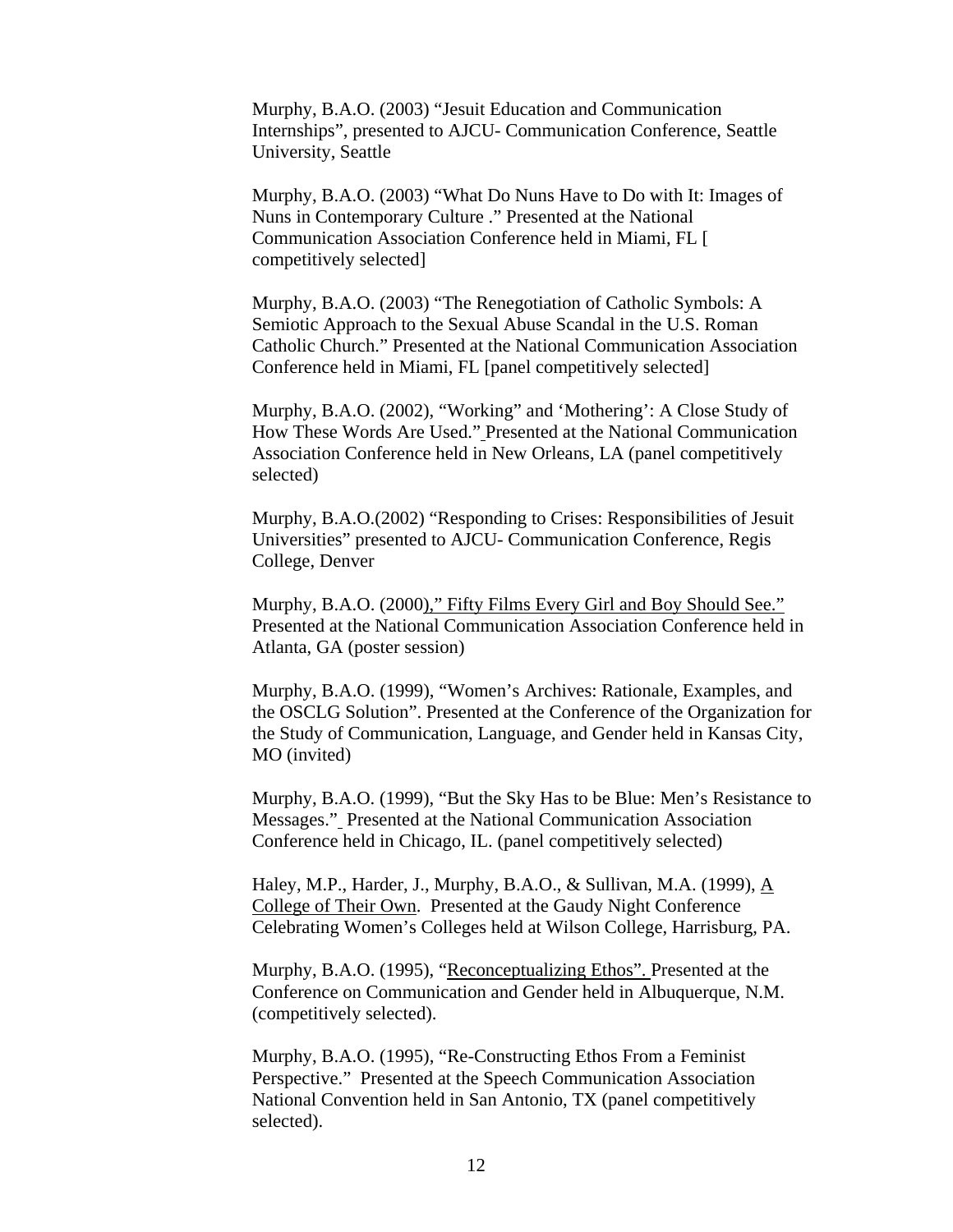Murphy, B.A.O. (2003) "Jesuit Education and Communication Internships", presented to AJCU- Communication Conference, Seattle University, Seattle

Murphy, B.A.O. (2003) "What Do Nuns Have to Do with It: Images of Nuns in Contemporary Culture ." Presented at the National Communication Association Conference held in Miami, FL [ competitively selected]

Murphy, B.A.O. (2003) "The Renegotiation of Catholic Symbols: A Semiotic Approach to the Sexual Abuse Scandal in the U.S. Roman Catholic Church." Presented at the National Communication Association Conference held in Miami, FL [panel competitively selected]

Murphy, B.A.O. (2002), "Working" and 'Mothering': A Close Study of How These Words Are Used." Presented at the National Communication Association Conference held in New Orleans, LA (panel competitively selected)

Murphy, B.A.O.(2002) "Responding to Crises: Responsibilities of Jesuit Universities" presented to AJCU- Communication Conference, Regis College, Denver

Murphy, B.A.O. (2000)," Fifty Films Every Girl and Boy Should See." Presented at the National Communication Association Conference held in Atlanta, GA (poster session)

Murphy, B.A.O. (1999), "Women's Archives: Rationale, Examples, and the OSCLG Solution". Presented at the Conference of the Organization for the Study of Communication, Language, and Gender held in Kansas City, MO (invited)

Murphy, B.A.O. (1999), "But the Sky Has to be Blue: Men's Resistance to Messages." Presented at the National Communication Association Conference held in Chicago, IL. (panel competitively selected)

Haley, M.P., Harder, J., Murphy, B.A.O., & Sullivan, M.A. (1999), A College of Their Own. Presented at the Gaudy Night Conference Celebrating Women's Colleges held at Wilson College, Harrisburg, PA.

Murphy, B.A.O. (1995), "Reconceptualizing Ethos". Presented at the Conference on Communication and Gender held in Albuquerque, N.M. (competitively selected).

Murphy, B.A.O. (1995), "Re-Constructing Ethos From a Feminist Perspective." Presented at the Speech Communication Association National Convention held in San Antonio, TX (panel competitively selected).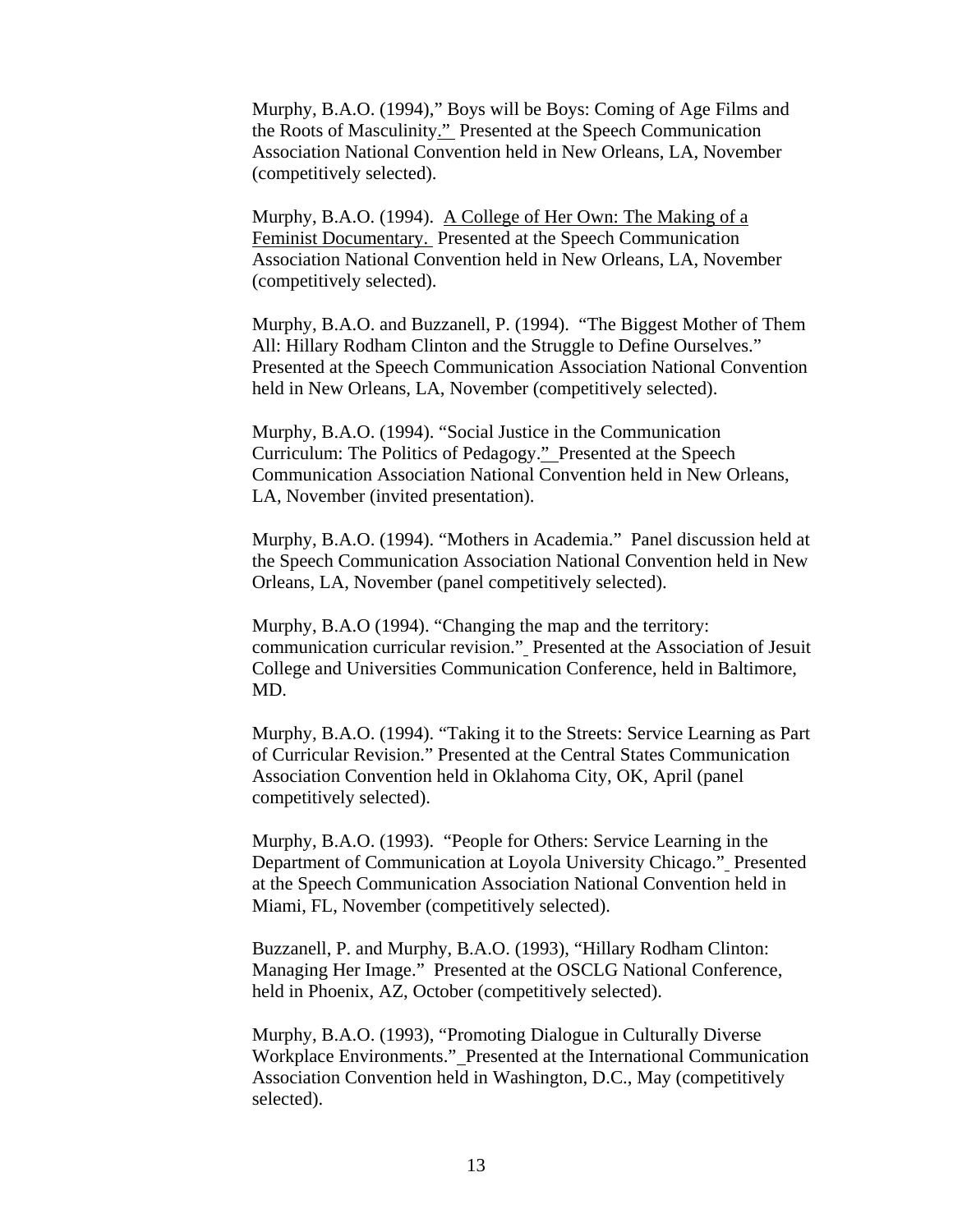Murphy, B.A.O. (1994)," Boys will be Boys: Coming of Age Films and the Roots of Masculinity." Presented at the Speech Communication Association National Convention held in New Orleans, LA, November (competitively selected).

Murphy, B.A.O. (1994). A College of Her Own: The Making of a Feminist Documentary. Presented at the Speech Communication Association National Convention held in New Orleans, LA, November (competitively selected).

Murphy, B.A.O. and Buzzanell, P. (1994). "The Biggest Mother of Them All: Hillary Rodham Clinton and the Struggle to Define Ourselves." Presented at the Speech Communication Association National Convention held in New Orleans, LA, November (competitively selected).

Murphy, B.A.O. (1994). "Social Justice in the Communication Curriculum: The Politics of Pedagogy." Presented at the Speech Communication Association National Convention held in New Orleans, LA, November (invited presentation).

Murphy, B.A.O. (1994). "Mothers in Academia." Panel discussion held at the Speech Communication Association National Convention held in New Orleans, LA, November (panel competitively selected).

Murphy, B.A.O (1994). "Changing the map and the territory: communication curricular revision." Presented at the Association of Jesuit College and Universities Communication Conference, held in Baltimore, MD.

Murphy, B.A.O. (1994). "Taking it to the Streets: Service Learning as Part of Curricular Revision." Presented at the Central States Communication Association Convention held in Oklahoma City, OK, April (panel competitively selected).

Murphy, B.A.O. (1993). "People for Others: Service Learning in the Department of Communication at Loyola University Chicago." Presented at the Speech Communication Association National Convention held in Miami, FL, November (competitively selected).

Buzzanell, P. and Murphy, B.A.O. (1993), "Hillary Rodham Clinton: Managing Her Image." Presented at the OSCLG National Conference, held in Phoenix, AZ, October (competitively selected).

Murphy, B.A.O. (1993), "Promoting Dialogue in Culturally Diverse Workplace Environments." Presented at the International Communication Association Convention held in Washington, D.C., May (competitively selected).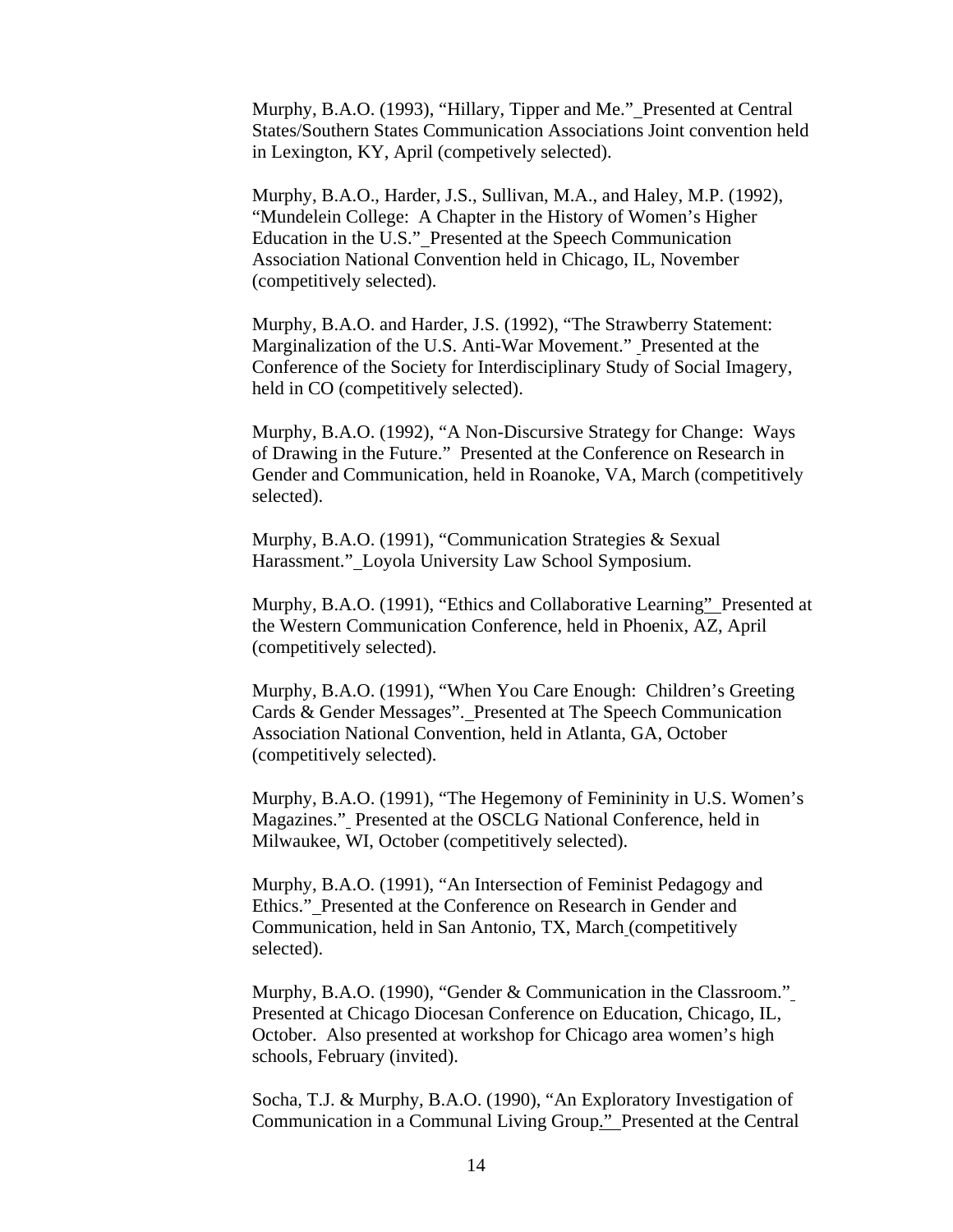Murphy, B.A.O. (1993), "Hillary, Tipper and Me." Presented at Central States/Southern States Communication Associations Joint convention held in Lexington, KY, April (competively selected).

Murphy, B.A.O., Harder, J.S., Sullivan, M.A., and Haley, M.P. (1992), "Mundelein College: A Chapter in the History of Women's Higher Education in the U.S." Presented at the Speech Communication Association National Convention held in Chicago, IL, November (competitively selected).

Murphy, B.A.O. and Harder, J.S. (1992), "The Strawberry Statement: Marginalization of the U.S. Anti-War Movement." Presented at the Conference of the Society for Interdisciplinary Study of Social Imagery, held in CO (competitively selected).

Murphy, B.A.O. (1992), "A Non-Discursive Strategy for Change: Ways of Drawing in the Future." Presented at the Conference on Research in Gender and Communication, held in Roanoke, VA, March (competitively selected).

Murphy, B.A.O. (1991), "Communication Strategies & Sexual Harassment." Loyola University Law School Symposium.

Murphy, B.A.O. (1991), "Ethics and Collaborative Learning" Presented at the Western Communication Conference, held in Phoenix, AZ, April (competitively selected).

Murphy, B.A.O. (1991), "When You Care Enough: Children's Greeting Cards & Gender Messages". Presented at The Speech Communication Association National Convention, held in Atlanta, GA, October (competitively selected).

Murphy, B.A.O. (1991), "The Hegemony of Femininity in U.S. Women's Magazines." Presented at the OSCLG National Conference, held in Milwaukee, WI, October (competitively selected).

Murphy, B.A.O. (1991), "An Intersection of Feminist Pedagogy and Ethics." Presented at the Conference on Research in Gender and Communication, held in San Antonio, TX, March (competitively selected).

Murphy, B.A.O. (1990), "Gender & Communication in the Classroom." Presented at Chicago Diocesan Conference on Education, Chicago, IL, October. Also presented at workshop for Chicago area women's high schools, February (invited).

Socha, T.J. & Murphy, B.A.O. (1990), "An Exploratory Investigation of Communication in a Communal Living Group." Presented at the Central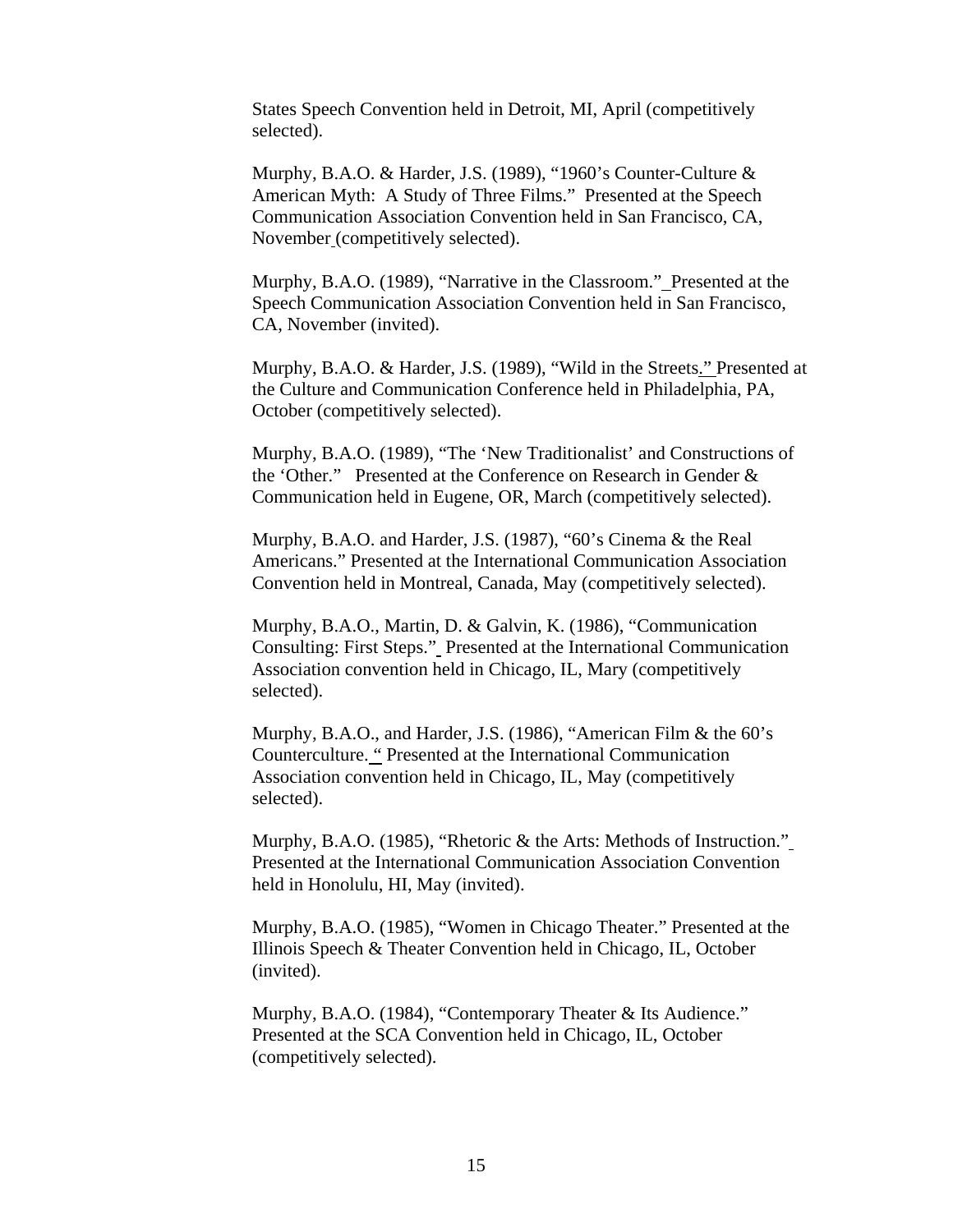States Speech Convention held in Detroit, MI, April (competitively selected).

Murphy, B.A.O. & Harder, J.S. (1989), "1960's Counter-Culture & American Myth: A Study of Three Films." Presented at the Speech Communication Association Convention held in San Francisco, CA, November (competitively selected).

Murphy, B.A.O. (1989), "Narrative in the Classroom." Presented at the Speech Communication Association Convention held in San Francisco, CA, November (invited).

Murphy, B.A.O. & Harder, J.S. (1989), "Wild in the Streets." Presented at the Culture and Communication Conference held in Philadelphia, PA, October (competitively selected).

Murphy, B.A.O. (1989), "The 'New Traditionalist' and Constructions of the 'Other." Presented at the Conference on Research in Gender & Communication held in Eugene, OR, March (competitively selected).

Murphy, B.A.O. and Harder, J.S. (1987), "60's Cinema & the Real Americans." Presented at the International Communication Association Convention held in Montreal, Canada, May (competitively selected).

Murphy, B.A.O., Martin, D. & Galvin, K. (1986), "Communication Consulting: First Steps." Presented at the International Communication Association convention held in Chicago, IL, Mary (competitively selected).

Murphy, B.A.O., and Harder, J.S. (1986), "American Film & the 60's Counterculture. " Presented at the International Communication Association convention held in Chicago, IL, May (competitively selected).

Murphy, B.A.O. (1985), "Rhetoric & the Arts: Methods of Instruction." Presented at the International Communication Association Convention held in Honolulu, HI, May (invited).

Murphy, B.A.O. (1985), "Women in Chicago Theater." Presented at the Illinois Speech & Theater Convention held in Chicago, IL, October (invited).

Murphy, B.A.O. (1984), "Contemporary Theater & Its Audience." Presented at the SCA Convention held in Chicago, IL, October (competitively selected).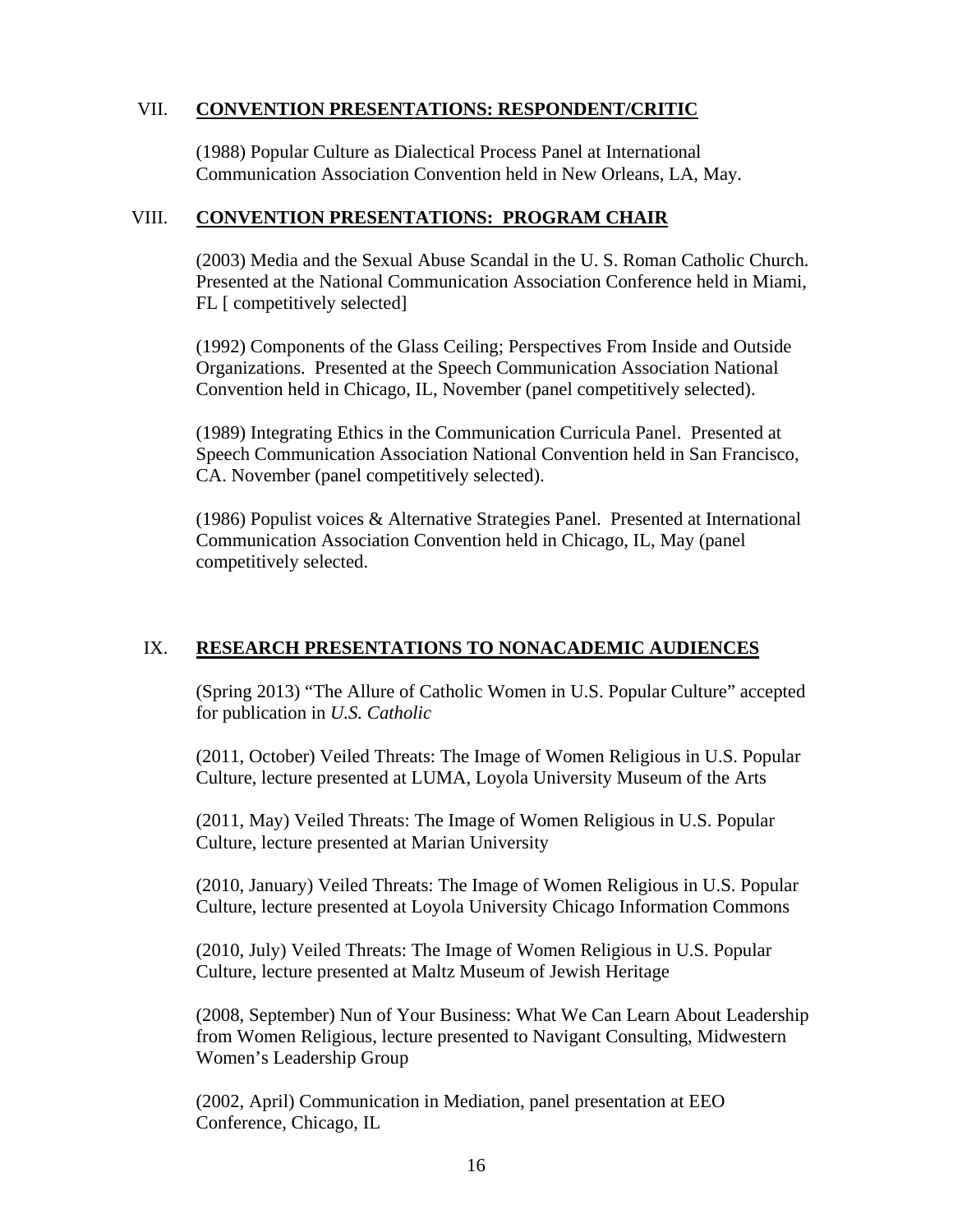#### VII. **CONVENTION PRESENTATIONS: RESPONDENT/CRITIC**

(1988) Popular Culture as Dialectical Process Panel at International Communication Association Convention held in New Orleans, LA, May.

#### VIII. **CONVENTION PRESENTATIONS: PROGRAM CHAIR**

(2003) Media and the Sexual Abuse Scandal in the U. S. Roman Catholic Church. Presented at the National Communication Association Conference held in Miami, FL [ competitively selected]

(1992) Components of the Glass Ceiling; Perspectives From Inside and Outside Organizations. Presented at the Speech Communication Association National Convention held in Chicago, IL, November (panel competitively selected).

(1989) Integrating Ethics in the Communication Curricula Panel. Presented at Speech Communication Association National Convention held in San Francisco, CA. November (panel competitively selected).

(1986) Populist voices & Alternative Strategies Panel. Presented at International Communication Association Convention held in Chicago, IL, May (panel competitively selected.

### IX. **RESEARCH PRESENTATIONS TO NONACADEMIC AUDIENCES**

(Spring 2013) "The Allure of Catholic Women in U.S. Popular Culture" accepted for publication in *U.S. Catholic* 

(2011, October) Veiled Threats: The Image of Women Religious in U.S. Popular Culture, lecture presented at LUMA, Loyola University Museum of the Arts

(2011, May) Veiled Threats: The Image of Women Religious in U.S. Popular Culture, lecture presented at Marian University

(2010, January) Veiled Threats: The Image of Women Religious in U.S. Popular Culture, lecture presented at Loyola University Chicago Information Commons

(2010, July) Veiled Threats: The Image of Women Religious in U.S. Popular Culture, lecture presented at Maltz Museum of Jewish Heritage

(2008, September) Nun of Your Business: What We Can Learn About Leadership from Women Religious, lecture presented to Navigant Consulting, Midwestern Women's Leadership Group

(2002, April) Communication in Mediation, panel presentation at EEO Conference, Chicago, IL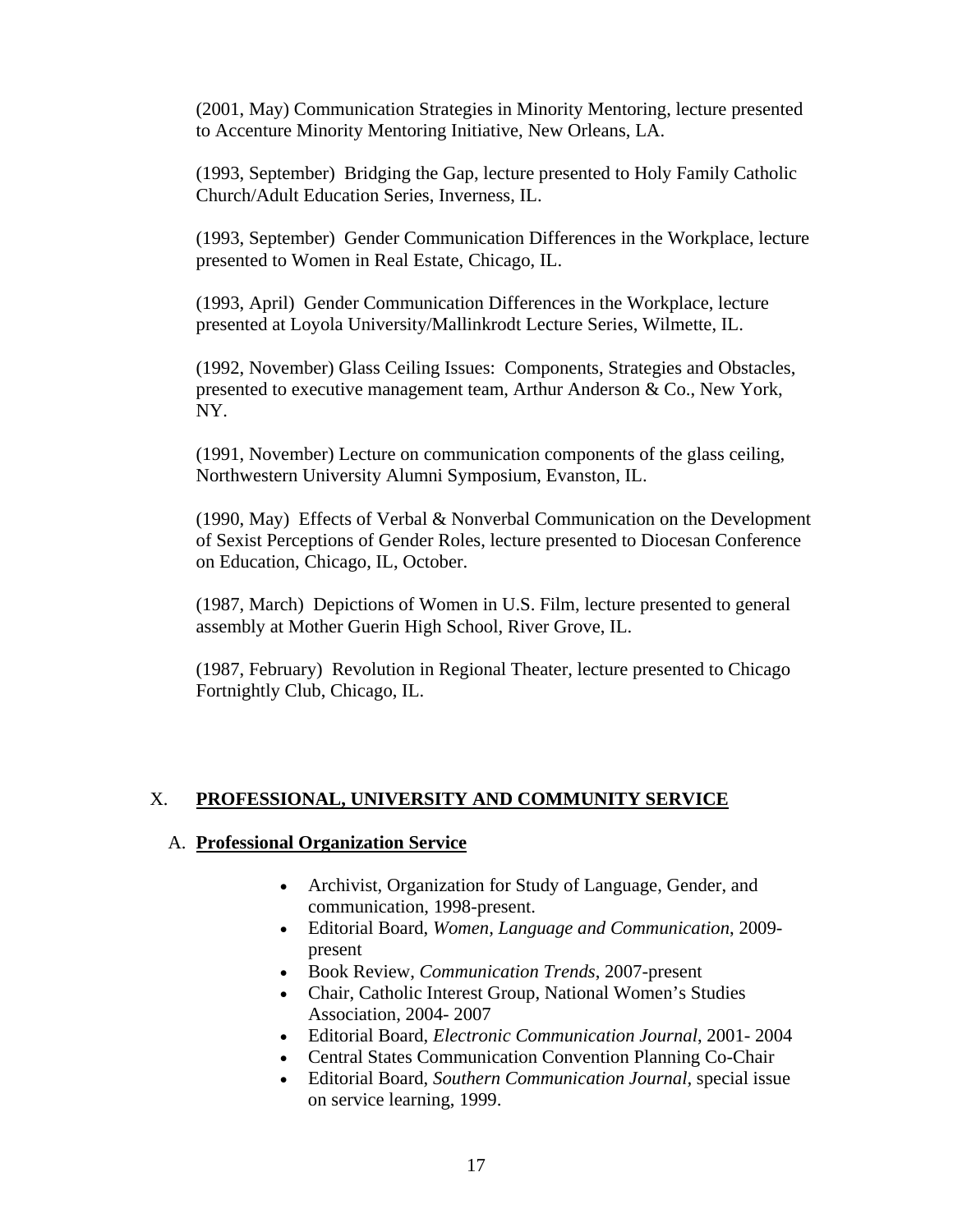(2001, May) Communication Strategies in Minority Mentoring, lecture presented to Accenture Minority Mentoring Initiative, New Orleans, LA.

(1993, September) Bridging the Gap, lecture presented to Holy Family Catholic Church/Adult Education Series, Inverness, IL.

(1993, September) Gender Communication Differences in the Workplace, lecture presented to Women in Real Estate, Chicago, IL.

(1993, April) Gender Communication Differences in the Workplace, lecture presented at Loyola University/Mallinkrodt Lecture Series, Wilmette, IL.

(1992, November) Glass Ceiling Issues: Components, Strategies and Obstacles, presented to executive management team, Arthur Anderson & Co., New York, NY.

(1991, November) Lecture on communication components of the glass ceiling, Northwestern University Alumni Symposium, Evanston, IL.

(1990, May) Effects of Verbal & Nonverbal Communication on the Development of Sexist Perceptions of Gender Roles, lecture presented to Diocesan Conference on Education, Chicago, IL, October.

(1987, March) Depictions of Women in U.S. Film, lecture presented to general assembly at Mother Guerin High School, River Grove, IL.

(1987, February) Revolution in Regional Theater, lecture presented to Chicago Fortnightly Club, Chicago, IL.

### X. **PROFESSIONAL, UNIVERSITY AND COMMUNITY SERVICE**

#### A. **Professional Organization Service**

- Archivist, Organization for Study of Language, Gender, and communication, 1998-present.
- Editorial Board, *Women, Language and Communication*, 2009 present
- Book Review, *Communication Trends*, 2007-present
- Chair, Catholic Interest Group, National Women's Studies Association, 2004- 2007
- Editorial Board, *Electronic Communication Journal*, 2001- 2004
- Central States Communication Convention Planning Co-Chair
- Editorial Board, *Southern Communication Journal,* special issue on service learning, 1999.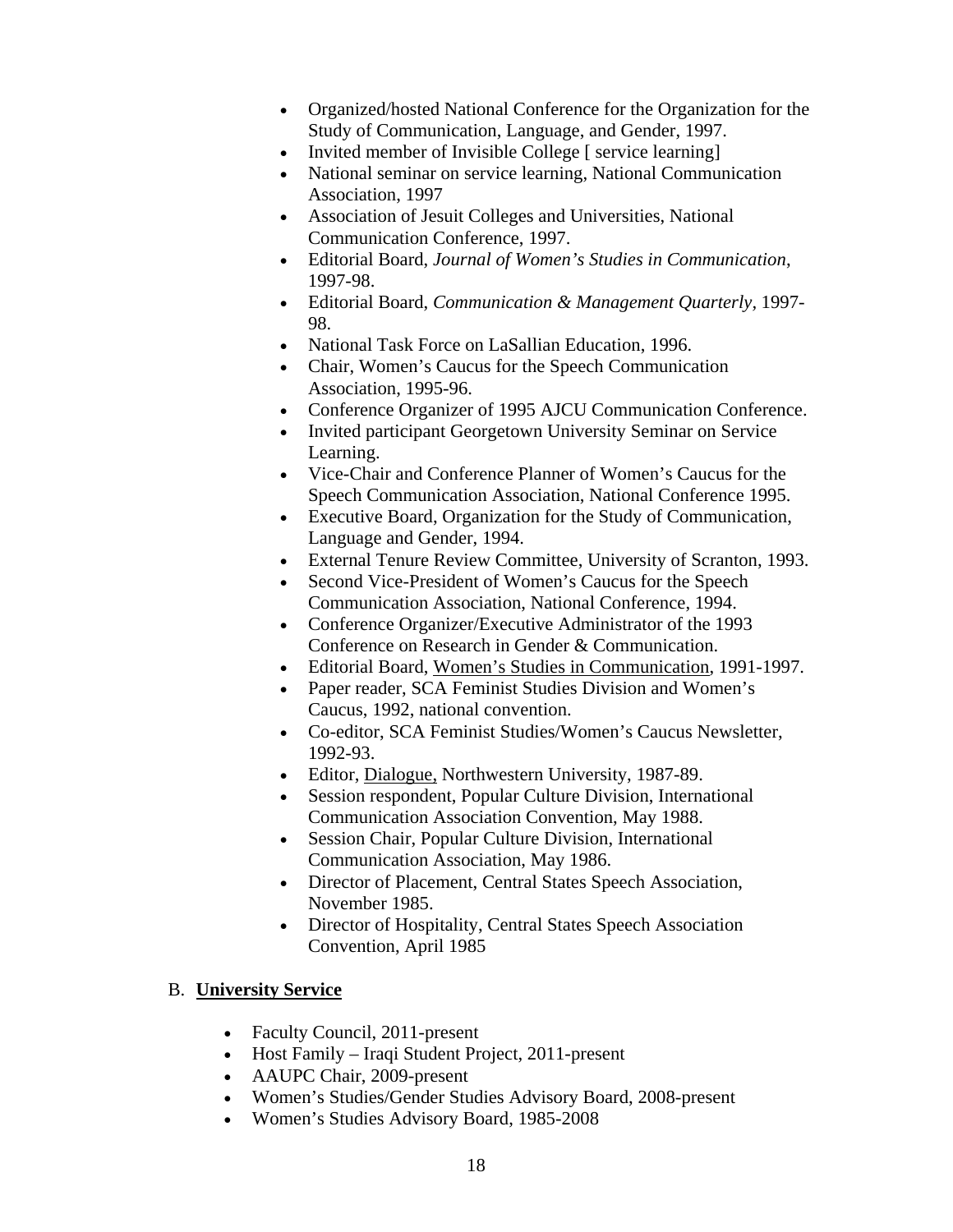- Organized/hosted National Conference for the Organization for the Study of Communication, Language, and Gender, 1997.
- Invited member of Invisible College [ service learning]
- National seminar on service learning, National Communication Association, 1997
- Association of Jesuit Colleges and Universities, National Communication Conference, 1997.
- Editorial Board, *Journal of Women's Studies in Communication*, 1997-98.
- Editorial Board, *Communication & Management Quarterly,* 1997- 98.
- National Task Force on LaSallian Education, 1996.
- Chair, Women's Caucus for the Speech Communication Association, 1995-96.
- Conference Organizer of 1995 AJCU Communication Conference.
- Invited participant Georgetown University Seminar on Service Learning.
- Vice-Chair and Conference Planner of Women's Caucus for the Speech Communication Association, National Conference 1995.
- Executive Board, Organization for the Study of Communication, Language and Gender, 1994.
- External Tenure Review Committee, University of Scranton, 1993.
- Second Vice-President of Women's Caucus for the Speech Communication Association, National Conference, 1994.
- Conference Organizer/Executive Administrator of the 1993 Conference on Research in Gender & Communication.
- Editorial Board, Women's Studies in Communication, 1991-1997.
- Paper reader, SCA Feminist Studies Division and Women's Caucus, 1992, national convention.
- Co-editor, SCA Feminist Studies/Women's Caucus Newsletter, 1992-93.
- Editor, Dialogue, Northwestern University, 1987-89.
- Session respondent, Popular Culture Division, International Communication Association Convention, May 1988.
- Session Chair, Popular Culture Division, International Communication Association, May 1986.
- Director of Placement, Central States Speech Association, November 1985.
- Director of Hospitality, Central States Speech Association Convention, April 1985

#### B. **University Service**

- Faculty Council, 2011-present
- Host Family Iraqi Student Project, 2011-present
- AAUPC Chair, 2009-present
- Women's Studies/Gender Studies Advisory Board, 2008-present
- Women's Studies Advisory Board, 1985-2008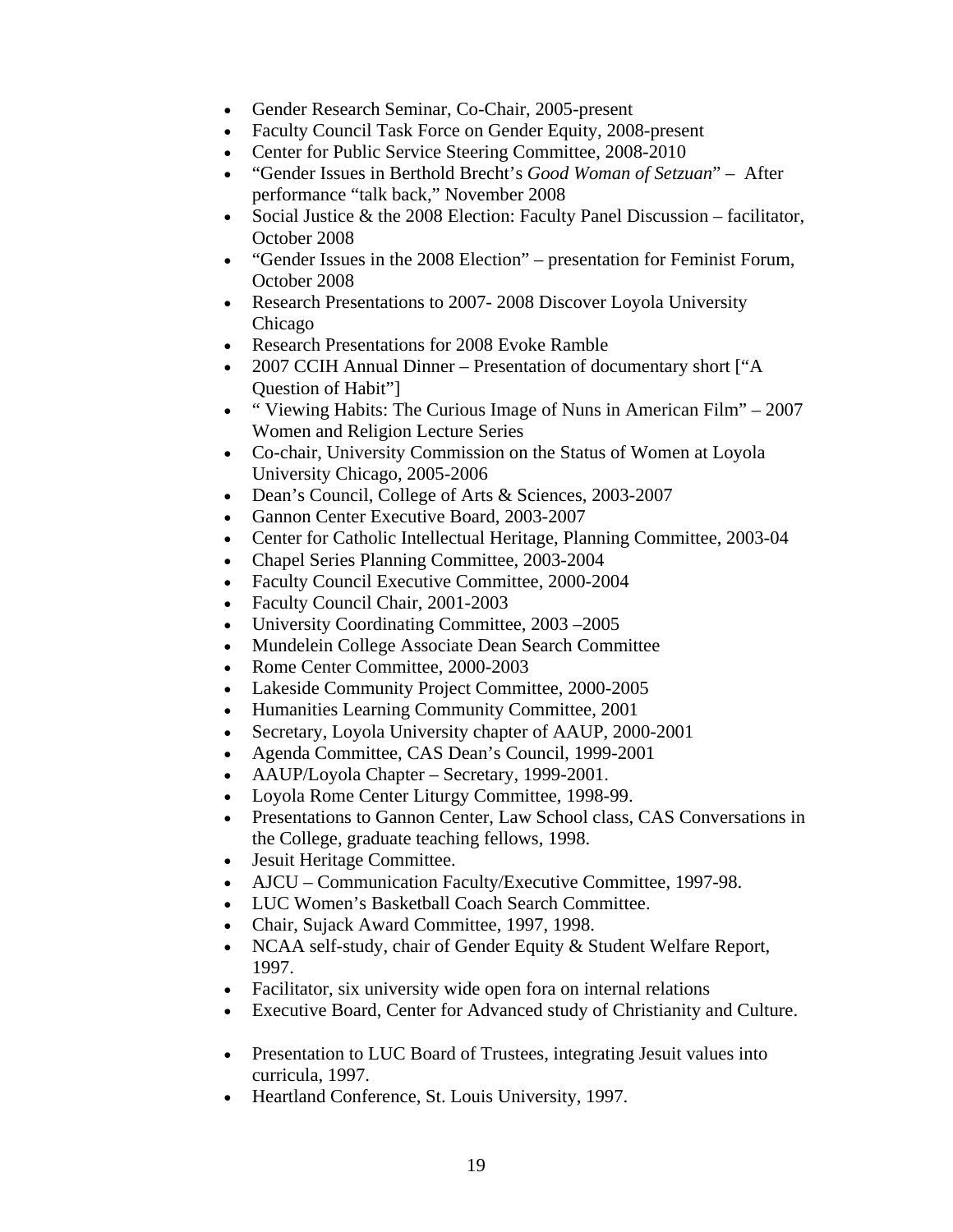- Gender Research Seminar, Co-Chair, 2005-present
- Faculty Council Task Force on Gender Equity, 2008-present
- Center for Public Service Steering Committee, 2008-2010
- "Gender Issues in Berthold Brecht's *Good Woman of Setzuan*" After performance "talk back," November 2008
- Social Justice  $&$  the 2008 Election: Faculty Panel Discussion facilitator, October 2008
- "Gender Issues in the 2008 Election" presentation for Feminist Forum, October 2008
- Research Presentations to 2007-2008 Discover Loyola University Chicago
- Research Presentations for 2008 Evoke Ramble
- 2007 CCIH Annual Dinner Presentation of documentary short ["A Question of Habit"]
- " Viewing Habits: The Curious Image of Nuns in American Film" 2007 Women and Religion Lecture Series
- Co-chair, University Commission on the Status of Women at Loyola University Chicago, 2005-2006
- Dean's Council, College of Arts & Sciences, 2003-2007
- Gannon Center Executive Board, 2003-2007
- Center for Catholic Intellectual Heritage, Planning Committee, 2003-04
- Chapel Series Planning Committee, 2003-2004
- Faculty Council Executive Committee, 2000-2004
- Faculty Council Chair, 2001-2003
- University Coordinating Committee, 2003 2005
- Mundelein College Associate Dean Search Committee
- Rome Center Committee, 2000-2003
- Lakeside Community Project Committee, 2000-2005
- Humanities Learning Community Committee, 2001
- Secretary, Loyola University chapter of AAUP, 2000-2001
- Agenda Committee, CAS Dean's Council, 1999-2001
- AAUP/Loyola Chapter Secretary, 1999-2001.
- Loyola Rome Center Liturgy Committee, 1998-99.
- Presentations to Gannon Center, Law School class, CAS Conversations in the College, graduate teaching fellows, 1998.
- Jesuit Heritage Committee.
- AJCU Communication Faculty/Executive Committee, 1997-98.
- LUC Women's Basketball Coach Search Committee.
- Chair, Sujack Award Committee, 1997, 1998.
- NCAA self-study, chair of Gender Equity & Student Welfare Report, 1997.
- Facilitator, six university wide open fora on internal relations
- Executive Board, Center for Advanced study of Christianity and Culture.
- Presentation to LUC Board of Trustees, integrating Jesuit values into curricula, 1997.
- Heartland Conference, St. Louis University, 1997.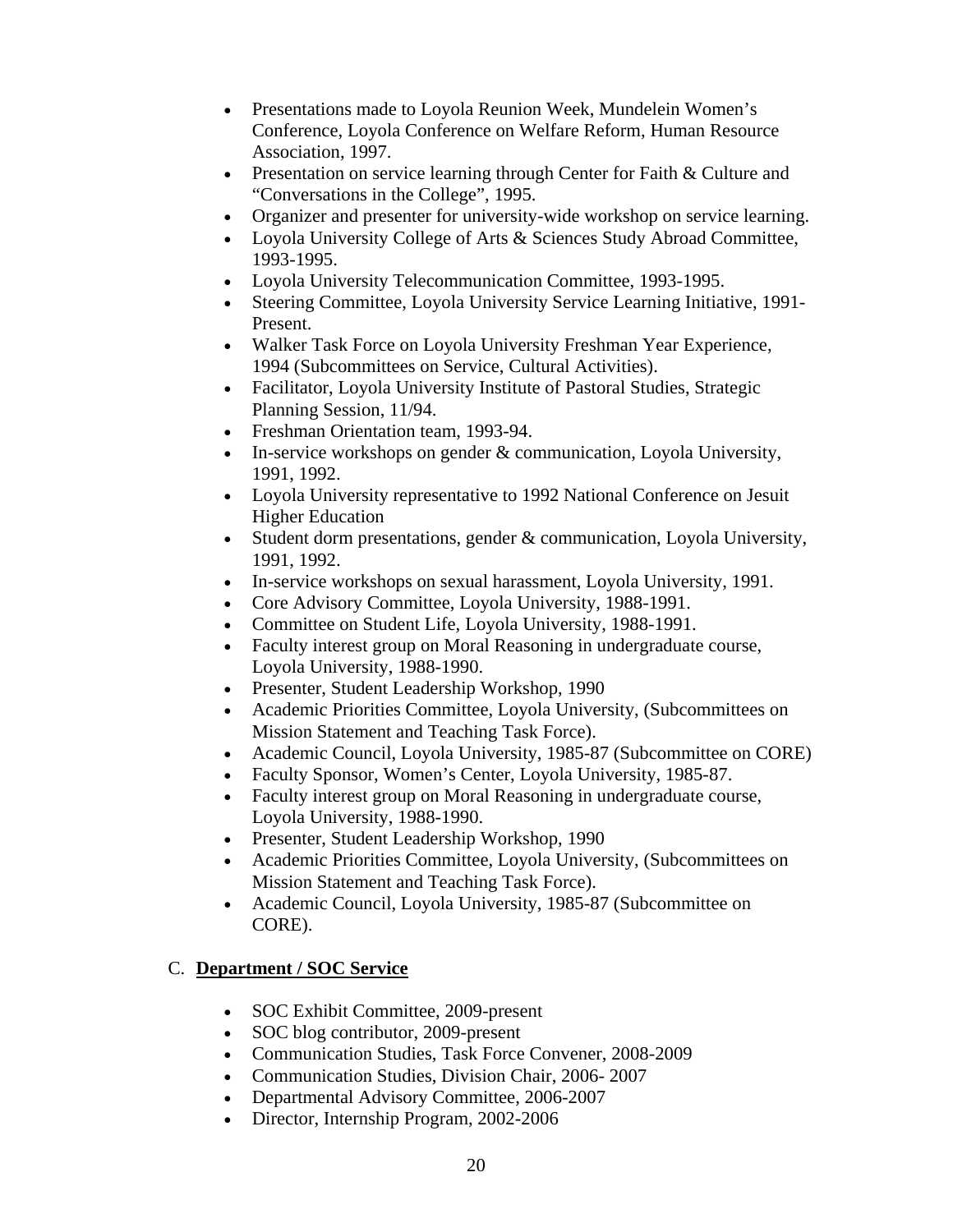- Presentations made to Loyola Reunion Week, Mundelein Women's Conference, Loyola Conference on Welfare Reform, Human Resource Association, 1997.
- Presentation on service learning through Center for Faith & Culture and "Conversations in the College", 1995.
- Organizer and presenter for university-wide workshop on service learning.
- Loyola University College of Arts & Sciences Study Abroad Committee, 1993-1995.
- Loyola University Telecommunication Committee, 1993-1995.
- Steering Committee, Loyola University Service Learning Initiative, 1991- Present.
- Walker Task Force on Loyola University Freshman Year Experience, 1994 (Subcommittees on Service, Cultural Activities).
- Facilitator, Loyola University Institute of Pastoral Studies, Strategic Planning Session, 11/94.
- Freshman Orientation team, 1993-94.
- In-service workshops on gender & communication, Loyola University, 1991, 1992.
- Loyola University representative to 1992 National Conference on Jesuit Higher Education
- Student dorm presentations, gender & communication, Loyola University, 1991, 1992.
- In-service workshops on sexual harassment, Loyola University, 1991.
- Core Advisory Committee, Loyola University, 1988-1991.
- Committee on Student Life, Loyola University, 1988-1991.
- Faculty interest group on Moral Reasoning in undergraduate course, Loyola University, 1988-1990.
- Presenter, Student Leadership Workshop, 1990
- Academic Priorities Committee, Loyola University, (Subcommittees on Mission Statement and Teaching Task Force).
- Academic Council, Loyola University, 1985-87 (Subcommittee on CORE)
- Faculty Sponsor, Women's Center, Loyola University, 1985-87.
- Faculty interest group on Moral Reasoning in undergraduate course, Loyola University, 1988-1990.
- Presenter, Student Leadership Workshop, 1990
- Academic Priorities Committee, Loyola University, (Subcommittees on Mission Statement and Teaching Task Force).
- Academic Council, Loyola University, 1985-87 (Subcommittee on CORE).

# C. **Department / SOC Service**

- SOC Exhibit Committee, 2009-present
- SOC blog contributor, 2009-present
- Communication Studies, Task Force Convener, 2008-2009
- Communication Studies, Division Chair, 2006- 2007
- Departmental Advisory Committee, 2006-2007
- Director, Internship Program, 2002-2006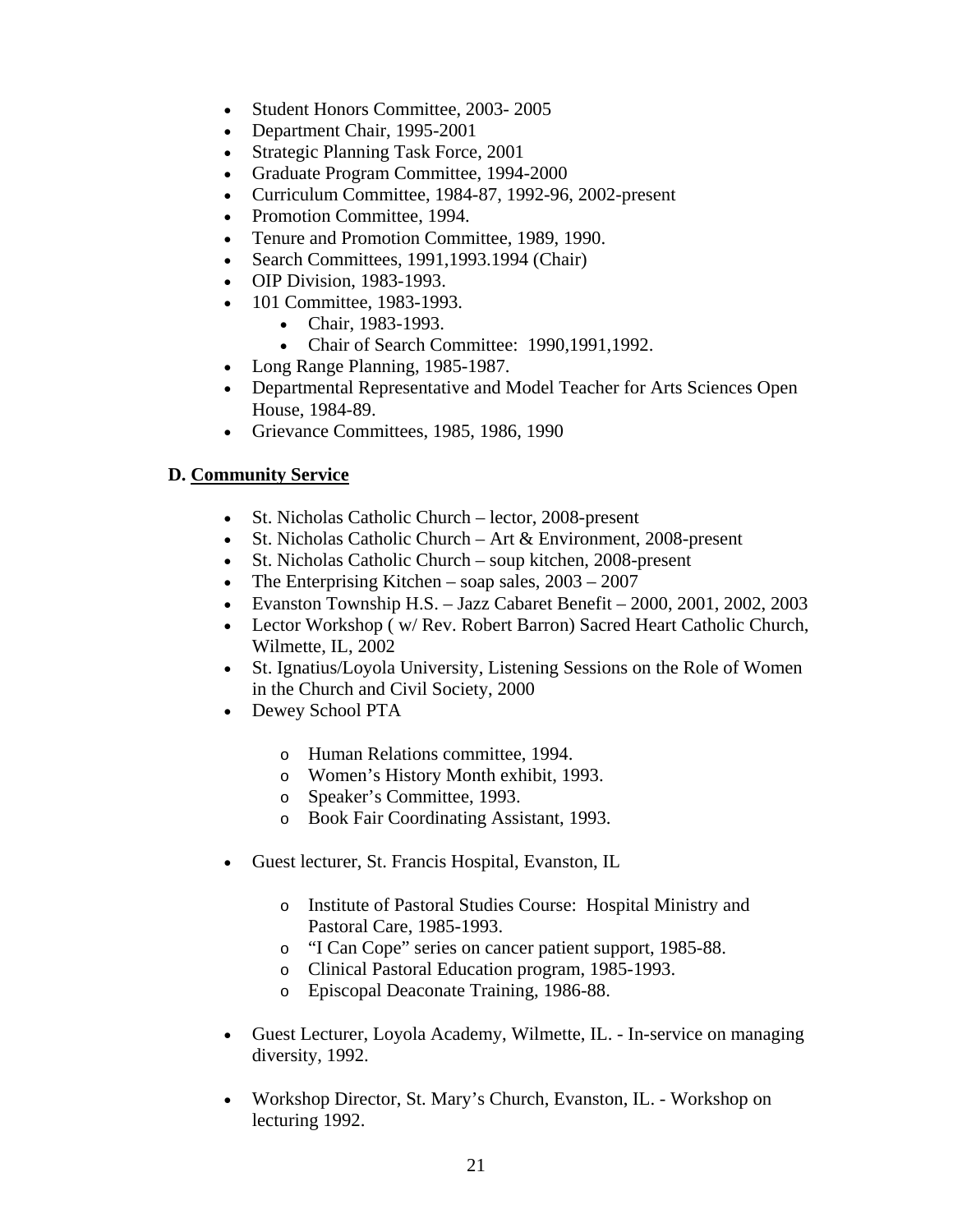- Student Honors Committee, 2003-2005
- Department Chair, 1995-2001
- Strategic Planning Task Force, 2001
- Graduate Program Committee, 1994-2000
- Curriculum Committee, 1984-87, 1992-96, 2002-present
- Promotion Committee, 1994.
- Tenure and Promotion Committee, 1989, 1990.
- Search Committees, 1991, 1993. 1994 (Chair)
- OIP Division, 1983-1993.
- 101 Committee, 1983-1993.
	- Chair, 1983-1993.
	- Chair of Search Committee: 1990, 1991, 1992.
- Long Range Planning, 1985-1987.
- Departmental Representative and Model Teacher for Arts Sciences Open House, 1984-89.
- Grievance Committees, 1985, 1986, 1990

### **D. Community Service**

- St. Nicholas Catholic Church lector, 2008-present
- St. Nicholas Catholic Church Art & Environment, 2008-present
- St. Nicholas Catholic Church soup kitchen, 2008-present
- The Enterprising Kitchen soap sales, 2003 2007
- Evanston Township H.S. Jazz Cabaret Benefit 2000, 2001, 2002, 2003
- Lector Workshop ( w/ Rev. Robert Barron) Sacred Heart Catholic Church, Wilmette, IL, 2002
- St. Ignatius/Loyola University, Listening Sessions on the Role of Women in the Church and Civil Society, 2000
- Dewey School PTA
	- o Human Relations committee, 1994.
	- o Women's History Month exhibit, 1993.
	- o Speaker's Committee, 1993.
	- o Book Fair Coordinating Assistant, 1993.
- Guest lecturer, St. Francis Hospital, Evanston, IL
	- o Institute of Pastoral Studies Course: Hospital Ministry and Pastoral Care, 1985-1993.
	- o "I Can Cope" series on cancer patient support, 1985-88.
	- o Clinical Pastoral Education program, 1985-1993.
	- o Episcopal Deaconate Training, 1986-88.
- Guest Lecturer, Loyola Academy, Wilmette, IL. In-service on managing diversity, 1992.
- Workshop Director, St. Mary's Church, Evanston, IL. Workshop on lecturing 1992.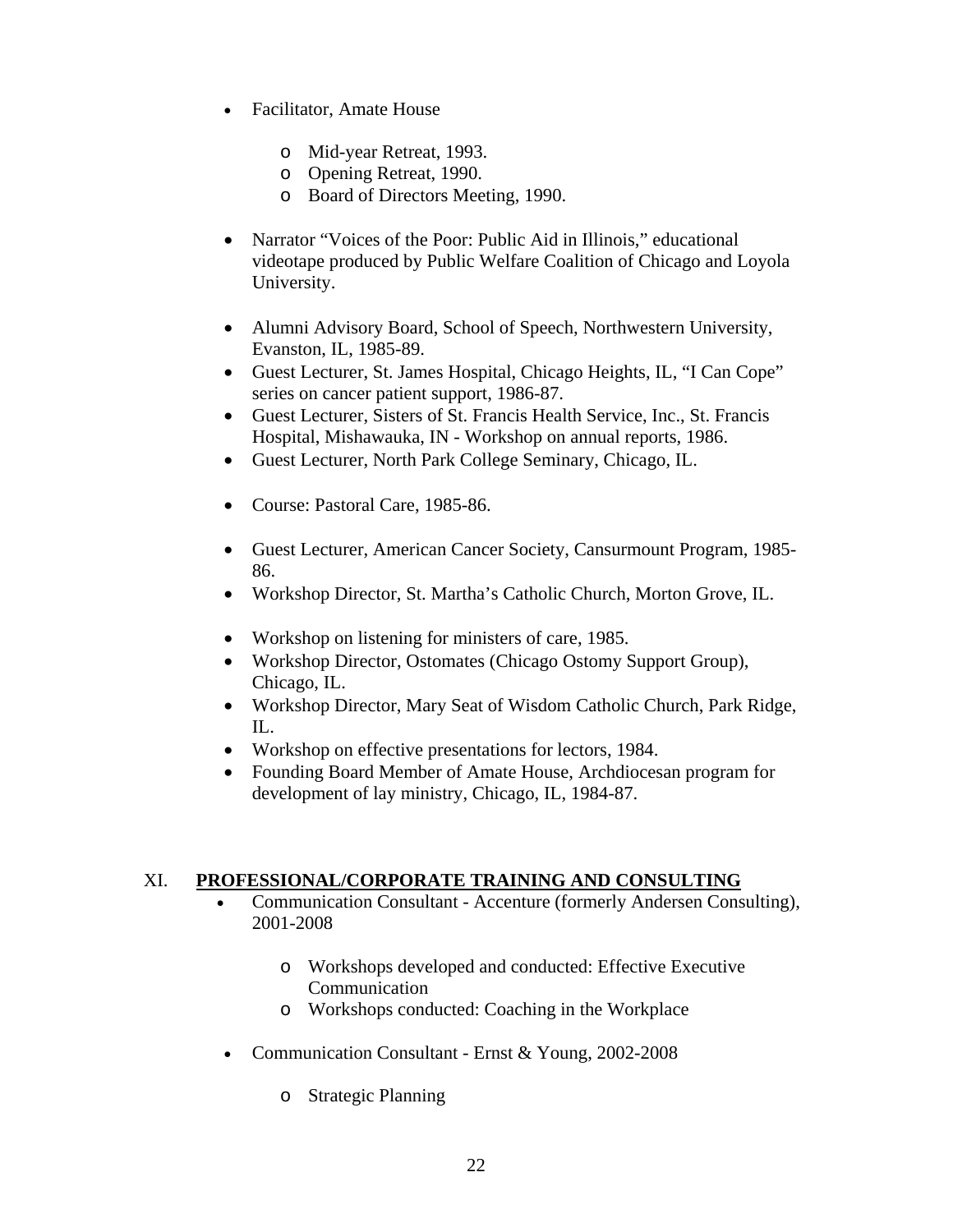- Facilitator, Amate House
	- o Mid-year Retreat, 1993.
	- o Opening Retreat, 1990.
	- o Board of Directors Meeting, 1990.
- Narrator "Voices of the Poor: Public Aid in Illinois," educational videotape produced by Public Welfare Coalition of Chicago and Loyola University.
- Alumni Advisory Board, School of Speech, Northwestern University, Evanston, IL, 1985-89.
- Guest Lecturer, St. James Hospital, Chicago Heights, IL, "I Can Cope" series on cancer patient support, 1986-87.
- Guest Lecturer, Sisters of St. Francis Health Service, Inc., St. Francis Hospital, Mishawauka, IN - Workshop on annual reports, 1986.
- Guest Lecturer, North Park College Seminary, Chicago, IL.
- Course: Pastoral Care, 1985-86.
- Guest Lecturer, American Cancer Society, Cansurmount Program, 1985- 86.
- Workshop Director, St. Martha's Catholic Church, Morton Grove, IL.
- Workshop on listening for ministers of care, 1985.
- Workshop Director, Ostomates (Chicago Ostomy Support Group), Chicago, IL.
- Workshop Director, Mary Seat of Wisdom Catholic Church, Park Ridge, IL.
- Workshop on effective presentations for lectors, 1984.
- Founding Board Member of Amate House, Archdiocesan program for development of lay ministry, Chicago, IL, 1984-87.

#### XI. **PROFESSIONAL/CORPORATE TRAINING AND CONSULTING**

- Communication Consultant Accenture (formerly Andersen Consulting), 2001-2008
	- o Workshops developed and conducted: Effective Executive Communication
	- o Workshops conducted: Coaching in the Workplace
- Communication Consultant Ernst & Young, 2002-2008
	- o Strategic Planning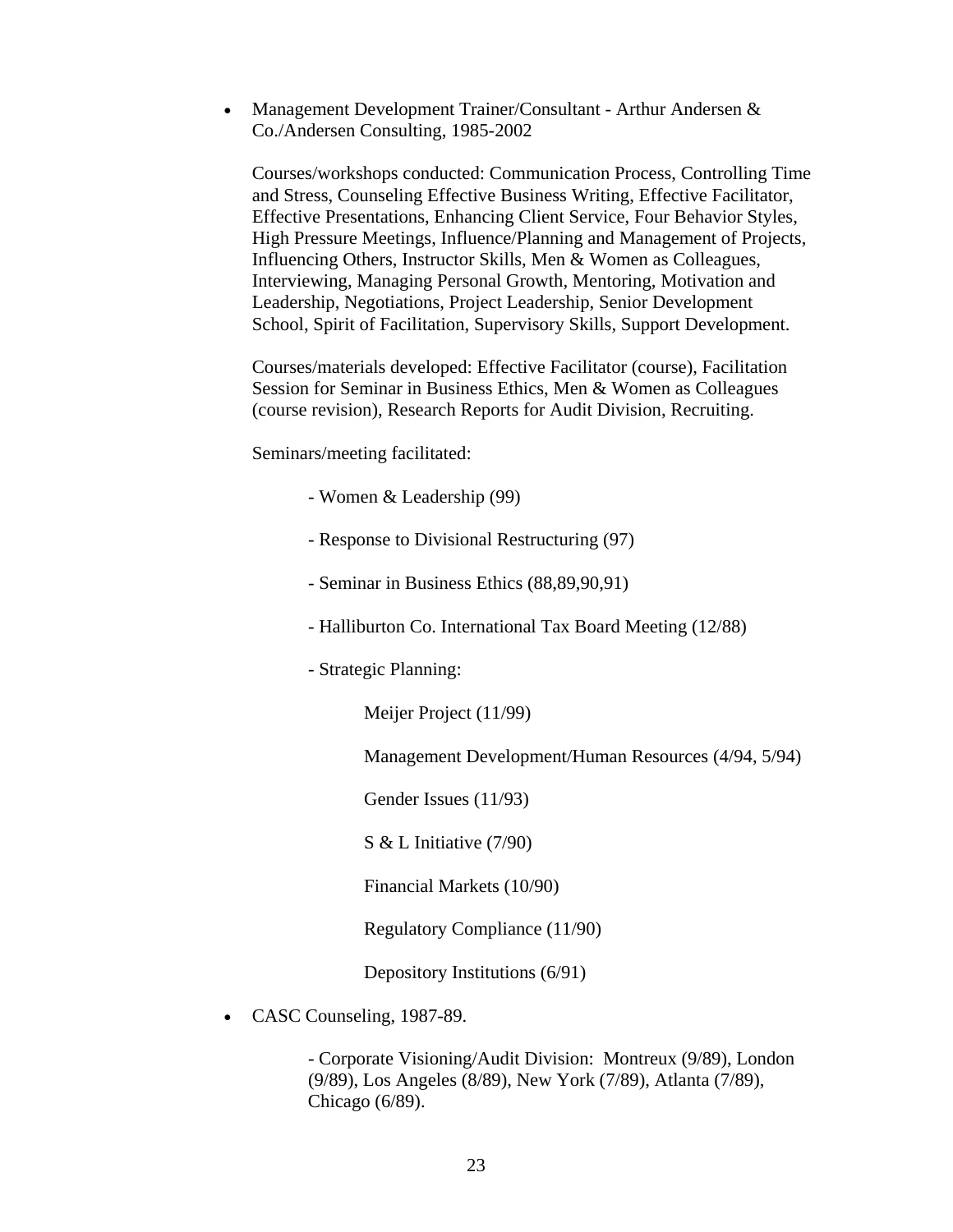• Management Development Trainer/Consultant - Arthur Andersen & Co./Andersen Consulting, 1985-2002

Courses/workshops conducted: Communication Process, Controlling Time and Stress, Counseling Effective Business Writing, Effective Facilitator, Effective Presentations, Enhancing Client Service, Four Behavior Styles, High Pressure Meetings, Influence/Planning and Management of Projects, Influencing Others, Instructor Skills, Men & Women as Colleagues, Interviewing, Managing Personal Growth, Mentoring, Motivation and Leadership, Negotiations, Project Leadership, Senior Development School, Spirit of Facilitation, Supervisory Skills, Support Development.

Courses/materials developed: Effective Facilitator (course), Facilitation Session for Seminar in Business Ethics, Men & Women as Colleagues (course revision), Research Reports for Audit Division, Recruiting.

Seminars/meeting facilitated:

- Women & Leadership (99)
- Response to Divisional Restructuring (97)
- Seminar in Business Ethics (88,89,90,91)
- Halliburton Co. International Tax Board Meeting (12/88)
- Strategic Planning:

Meijer Project (11/99)

Management Development/Human Resources (4/94, 5/94)

Gender Issues (11/93)

S & L Initiative (7/90)

Financial Markets (10/90)

Regulatory Compliance (11/90)

Depository Institutions (6/91)

• CASC Counseling, 1987-89.

- Corporate Visioning/Audit Division: Montreux (9/89), London (9/89), Los Angeles (8/89), New York (7/89), Atlanta (7/89), Chicago (6/89).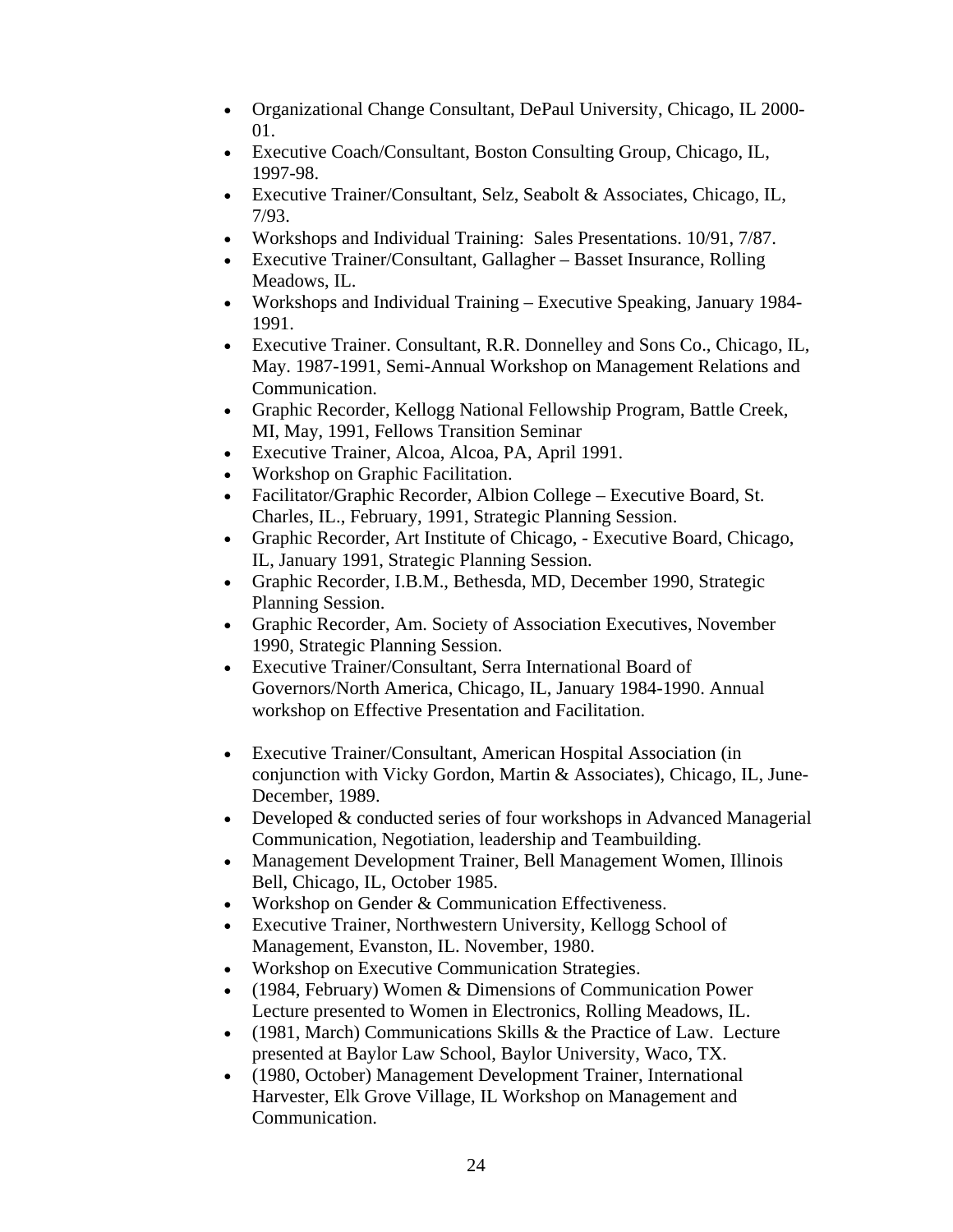- Organizational Change Consultant, DePaul University, Chicago, IL 2000- 01.
- Executive Coach/Consultant, Boston Consulting Group, Chicago, IL, 1997-98.
- Executive Trainer/Consultant, Selz, Seabolt & Associates, Chicago, IL, 7/93.
- Workshops and Individual Training: Sales Presentations. 10/91, 7/87.
- Executive Trainer/Consultant, Gallagher Basset Insurance, Rolling Meadows, IL.
- Workshops and Individual Training Executive Speaking, January 1984- 1991.
- Executive Trainer. Consultant, R.R. Donnelley and Sons Co., Chicago, IL, May. 1987-1991, Semi-Annual Workshop on Management Relations and Communication.
- Graphic Recorder, Kellogg National Fellowship Program, Battle Creek, MI, May, 1991, Fellows Transition Seminar
- Executive Trainer, Alcoa, Alcoa, PA, April 1991.
- Workshop on Graphic Facilitation.
- Facilitator/Graphic Recorder, Albion College Executive Board, St. Charles, IL., February, 1991, Strategic Planning Session.
- Graphic Recorder, Art Institute of Chicago, Executive Board, Chicago, IL, January 1991, Strategic Planning Session.
- Graphic Recorder, I.B.M., Bethesda, MD, December 1990, Strategic Planning Session.
- Graphic Recorder, Am. Society of Association Executives, November 1990, Strategic Planning Session.
- Executive Trainer/Consultant, Serra International Board of Governors/North America, Chicago, IL, January 1984-1990. Annual workshop on Effective Presentation and Facilitation.
- Executive Trainer/Consultant, American Hospital Association (in conjunction with Vicky Gordon, Martin & Associates), Chicago, IL, June-December, 1989.
- $\bullet$  Developed & conducted series of four workshops in Advanced Managerial Communication, Negotiation, leadership and Teambuilding.
- Management Development Trainer, Bell Management Women, Illinois Bell, Chicago, IL, October 1985.
- Workshop on Gender & Communication Effectiveness.
- Executive Trainer, Northwestern University, Kellogg School of Management, Evanston, IL. November, 1980.
- Workshop on Executive Communication Strategies.
- (1984, February) Women & Dimensions of Communication Power Lecture presented to Women in Electronics, Rolling Meadows, IL.
- $\bullet$  (1981, March) Communications Skills & the Practice of Law. Lecture presented at Baylor Law School, Baylor University, Waco, TX.
- (1980, October) Management Development Trainer, International Harvester, Elk Grove Village, IL Workshop on Management and Communication.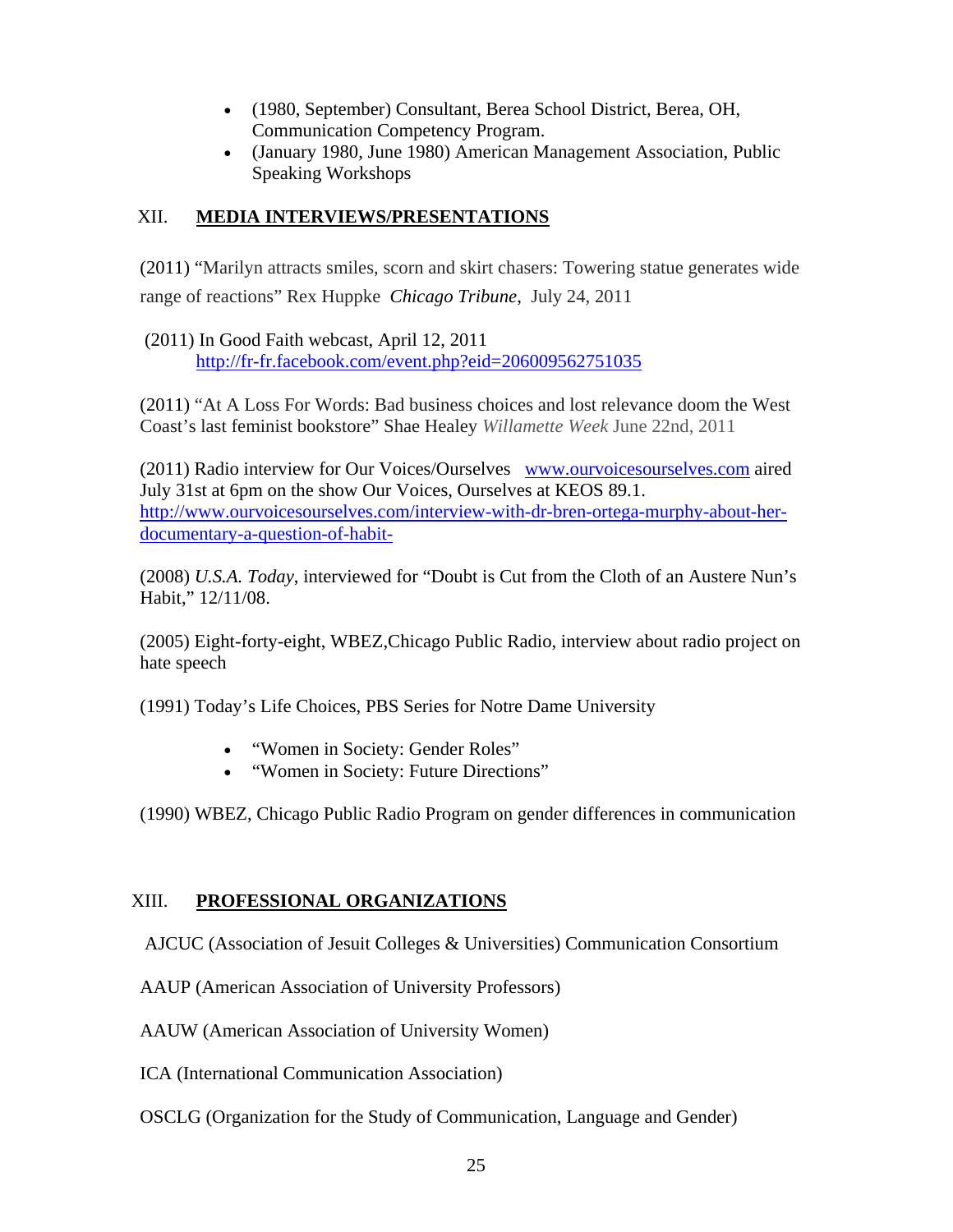- (1980, September) Consultant, Berea School District, Berea, OH, Communication Competency Program.
- (January 1980, June 1980) American Management Association, Public Speaking Workshops

## XII. **MEDIA INTERVIEWS/PRESENTATIONS**

(2011) "Marilyn attracts smiles, scorn and skirt chasers: Towering statue generates wide range of reactions" Rex Huppke *Chicago Tribune*, July 24, 2011

 (2011) In Good Faith webcast, April 12, 2011 http://fr-fr.facebook.com/event.php?eid=206009562751035

(2011) "At A Loss For Words: Bad business choices and lost relevance doom the West Coast's last feminist bookstore" Shae Healey *Willamette Week* June 22nd, 2011

(2011) Radio interview for Our Voices/Ourselves www.ourvoicesourselves.com aired July 31st at 6pm on the show Our Voices, Ourselves at KEOS 89.1. http://www.ourvoicesourselves.com/interview-with-dr-bren-ortega-murphy-about-herdocumentary-a-question-of-habit-

(2008) *U.S.A. Today*, interviewed for "Doubt is Cut from the Cloth of an Austere Nun's Habit," 12/11/08.

(2005) Eight-forty-eight, WBEZ,Chicago Public Radio, interview about radio project on hate speech

(1991) Today's Life Choices, PBS Series for Notre Dame University

- "Women in Society: Gender Roles"
- "Women in Society: Future Directions"

(1990) WBEZ, Chicago Public Radio Program on gender differences in communication

#### XIII. **PROFESSIONAL ORGANIZATIONS**

AJCUC (Association of Jesuit Colleges & Universities) Communication Consortium

AAUP (American Association of University Professors)

AAUW (American Association of University Women)

ICA (International Communication Association)

OSCLG (Organization for the Study of Communication, Language and Gender)